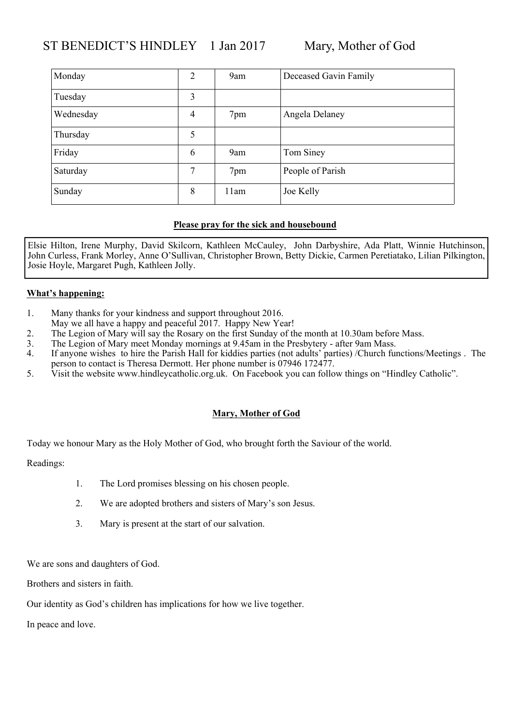| Monday    | 2              | 9am  | Deceased Gavin Family |
|-----------|----------------|------|-----------------------|
| Tuesday   | 3              |      |                       |
| Wednesday | $\overline{4}$ | 7pm  | Angela Delaney        |
| Thursday  | 5              |      |                       |
| Friday    | 6              | 9am  | Tom Siney             |
| Saturday  | 7              | 7pm  | People of Parish      |
| Sunday    | 8              | 11am | Joe Kelly             |

Elsie Hilton, Irene Murphy, David Skilcorn, Kathleen McCauley, John Darbyshire, Ada Platt, Winnie Hutchinson, John Curless, Frank Morley, Anne O'Sullivan, Christopher Brown, Betty Dickie, Carmen Peretiatako, Lilian Pilkington, Josie Hoyle, Margaret Pugh, Kathleen Jolly.

### **What's happening:**

- 1. Many thanks for your kindness and support throughout 2016.
- May we all have a happy and peaceful 2017. Happy New Year!
- 2. The Legion of Mary will say the Rosary on the first Sunday of the month at 10.30am before Mass.<br>3. The Legion of Mary meet Monday mornings at 9.45am in the Presbytery after 9am Mass.
- 3. The Legion of Mary meet Monday mornings at 9.45am in the Presbytery after 9am Mass.<br>4. If anyone wishes to hire the Parish Hall for kiddies parties (not adults' parties) /Church fu
- 4. If anyone wishes to hire the Parish Hall for kiddies parties (not adults' parties) /Church functions/Meetings . The person to contact is Theresa Dermott. Her phone number is 07946 172477.
- 5. Visit the website www.hindleycatholic.org.uk. On Facebook you can follow things on "Hindley Catholic".

### **Mary, Mother of God**

Today we honour Mary as the Holy Mother of God, who brought forth the Saviour of the world.

#### Readings:

- 1. The Lord promises blessing on his chosen people.
- 2. We are adopted brothers and sisters of Mary's son Jesus.
- 3. Mary is present at the start of our salvation.

We are sons and daughters of God.

Brothers and sisters in faith.

Our identity as God's children has implications for how we live together.

In peace and love.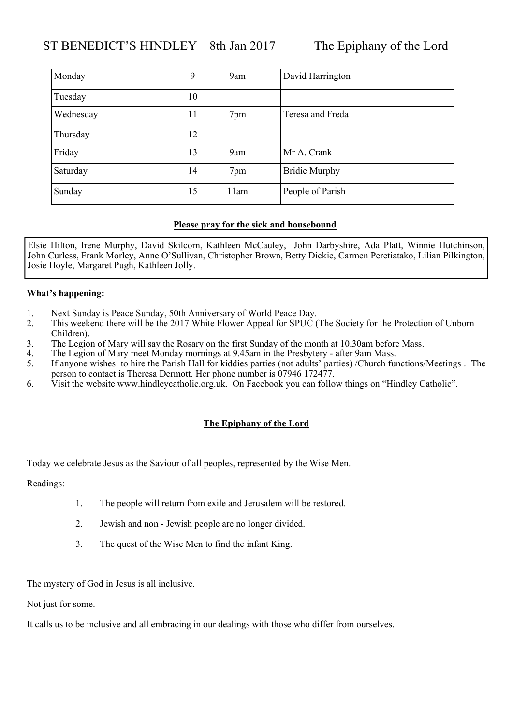## ST BENEDICT'S HINDLEY 8th Jan 2017 The Epiphany of the Lord

| Monday    | 9  | 9am  | David Harrington     |
|-----------|----|------|----------------------|
| Tuesday   | 10 |      |                      |
| Wednesday | 11 | 7pm  | Teresa and Freda     |
| Thursday  | 12 |      |                      |
| Friday    | 13 | 9am  | Mr A. Crank          |
| Saturday  | 14 | 7pm  | <b>Bridie Murphy</b> |
| Sunday    | 15 | 11am | People of Parish     |

### **Please pray for the sick and housebound**

Elsie Hilton, Irene Murphy, David Skilcorn, Kathleen McCauley, John Darbyshire, Ada Platt, Winnie Hutchinson, John Curless, Frank Morley, Anne O'Sullivan, Christopher Brown, Betty Dickie, Carmen Peretiatako, Lilian Pilkington, Josie Hoyle, Margaret Pugh, Kathleen Jolly.

#### **What's happening:**

- 1. Next Sunday is Peace Sunday, 50th Anniversary of World Peace Day.
- 2. This weekend there will be the 2017 White Flower Appeal for SPUC (The Society for the Protection of Unborn Children).
- 3. The Legion of Mary will say the Rosary on the first Sunday of the month at 10.30am before Mass.<br>4. The Legion of Mary meet Monday mornings at 9.45am in the Presbytery after 9am Mass.
- The Legion of Mary meet Monday mornings at 9.45am in the Presbytery after 9am Mass.
- 5. If anyone wishes to hire the Parish Hall for kiddies parties (not adults' parties) /Church functions/Meetings . The person to contact is Theresa Dermott. Her phone number is 07946 172477.
- 6. Visit the website www.hindleycatholic.org.uk. On Facebook you can follow things on "Hindley Catholic".

#### **The Epiphany of the Lord**

Today we celebrate Jesus as the Saviour of all peoples, represented by the Wise Men.

Readings:

- 1. The people will return from exile and Jerusalem will be restored.
- 2. Jewish and non Jewish people are no longer divided.
- 3. The quest of the Wise Men to find the infant King.

The mystery of God in Jesus is all inclusive.

Not just for some.

It calls us to be inclusive and all embracing in our dealings with those who differ from ourselves.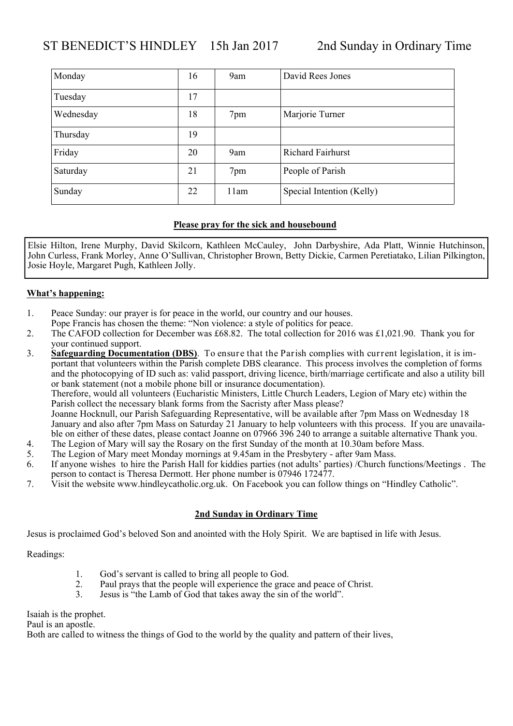| Monday    | 16 | 9am  | David Rees Jones          |
|-----------|----|------|---------------------------|
| Tuesday   | 17 |      |                           |
| Wednesday | 18 | 7pm  | Marjorie Turner           |
| Thursday  | 19 |      |                           |
| Friday    | 20 | 9am  | <b>Richard Fairhurst</b>  |
| Saturday  | 21 | 7pm  | People of Parish          |
| Sunday    | 22 | 11am | Special Intention (Kelly) |

Elsie Hilton, Irene Murphy, David Skilcorn, Kathleen McCauley, John Darbyshire, Ada Platt, Winnie Hutchinson, John Curless, Frank Morley, Anne O'Sullivan, Christopher Brown, Betty Dickie, Carmen Peretiatako, Lilian Pilkington, Josie Hoyle, Margaret Pugh, Kathleen Jolly.

#### **What's happening:**

- 1. Peace Sunday: our prayer is for peace in the world, our country and our houses.
- Pope Francis has chosen the theme: "Non violence: a style of politics for peace.
- 2. The CAFOD collection for December was £68.82. The total collection for 2016 was £1,021.90. Thank you for your continued support.

3. **Safeguarding Documentation (DBS)**. To ensure that the Parish complies with current legislation, it is important that volunteers within the Parish complete DBS clearance. This process involves the completion of forms and the photocopying of ID such as: valid passport, driving licence, birth/marriage certificate and also a utility bill or bank statement (not a mobile phone bill or insurance documentation). Therefore, would all volunteers (Eucharistic Ministers, Little Church Leaders, Legion of Mary etc) within the Parish collect the necessary blank forms from the Sacristy after Mass please?

Joanne Hocknull, our Parish Safeguarding Representative, will be available after 7pm Mass on Wednesday 18 January and also after 7pm Mass on Saturday 21 January to help volunteers with this process. If you are unavailable on either of these dates, please contact Joanne on 07966 396 240 to arrange a suitable alternative Thank you.

- 4. The Legion of Mary will say the Rosary on the first Sunday of the month at 10.30am before Mass.<br>5. The Legion of Mary meet Monday mornings at 9.45am in the Presbytery after 9am Mass.
- The Legion of Mary meet Monday mornings at 9.45am in the Presbytery after 9am Mass.
- 6. If anyone wishes to hire the Parish Hall for kiddies parties (not adults' parties) /Church functions/Meetings . The person to contact is Theresa Dermott. Her phone number is 07946 172477.
- 7. Visit the website www.hindleycatholic.org.uk. On Facebook you can follow things on "Hindley Catholic".

### **2nd Sunday in Ordinary Time**

Jesus is proclaimed God's beloved Son and anointed with the Holy Spirit. We are baptised in life with Jesus.

Readings:

- 1. God's servant is called to bring all people to God.
- 2. Paul prays that the people will experience the grace and peace of Christ.
- 3. Jesus is "the Lamb of God that takes away the sin of the world".

Isaiah is the prophet.

Paul is an apostle.

Both are called to witness the things of God to the world by the quality and pattern of their lives,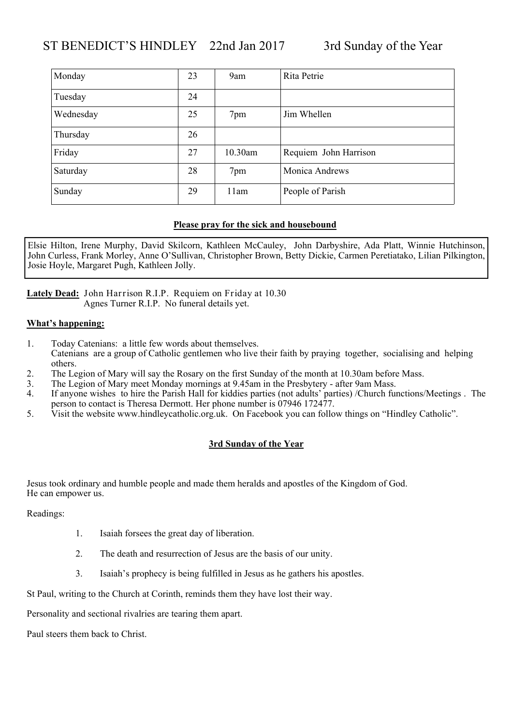### ST BENEDICT'S HINDLEY 22nd Jan 2017 3rd Sunday of the Year

| Monday    | 23 | 9am     | Rita Petrie           |
|-----------|----|---------|-----------------------|
| Tuesday   | 24 |         |                       |
| Wednesday | 25 | 7pm     | Jim Whellen           |
| Thursday  | 26 |         |                       |
| Friday    | 27 | 10.30am | Requiem John Harrison |
| Saturday  | 28 | 7pm     | Monica Andrews        |
| Sunday    | 29 | 11am    | People of Parish      |

### **Please pray for the sick and housebound**

Elsie Hilton, Irene Murphy, David Skilcorn, Kathleen McCauley, John Darbyshire, Ada Platt, Winnie Hutchinson, John Curless, Frank Morley, Anne O'Sullivan, Christopher Brown, Betty Dickie, Carmen Peretiatako, Lilian Pilkington, Josie Hoyle, Margaret Pugh, Kathleen Jolly.

**Lately Dead:** John Harrison R.I.P. Requiem on Friday at 10.30 Agnes Turner R.I.P. No funeral details yet.

#### **What's happening:**

- 1. Today Catenians: a little few words about themselves. Catenians are a group of Catholic gentlemen who live their faith by praying together, socialising and helping others.
- 2. The Legion of Mary will say the Rosary on the first Sunday of the month at 10.30am before Mass.
- 3. The Legion of Mary meet Monday mornings at 9.45am in the Presbytery after 9am Mass.
- 4. If anyone wishes to hire the Parish Hall for kiddies parties (not adults' parties) /Church functions/Meetings . The person to contact is Theresa Dermott. Her phone number is  $\hat{0}$ 7946 172477.
- 5. Visit the website www.hindleycatholic.org.uk. On Facebook you can follow things on "Hindley Catholic".

### **3rd Sunday of the Year**

Jesus took ordinary and humble people and made them heralds and apostles of the Kingdom of God. He can empower us.

Readings:

- 1. Isaiah forsees the great day of liberation.
- 2. The death and resurrection of Jesus are the basis of our unity.
- 3. Isaiah's prophecy is being fulfilled in Jesus as he gathers his apostles.

St Paul, writing to the Church at Corinth, reminds them they have lost their way.

Personality and sectional rivalries are tearing them apart.

Paul steers them back to Christ.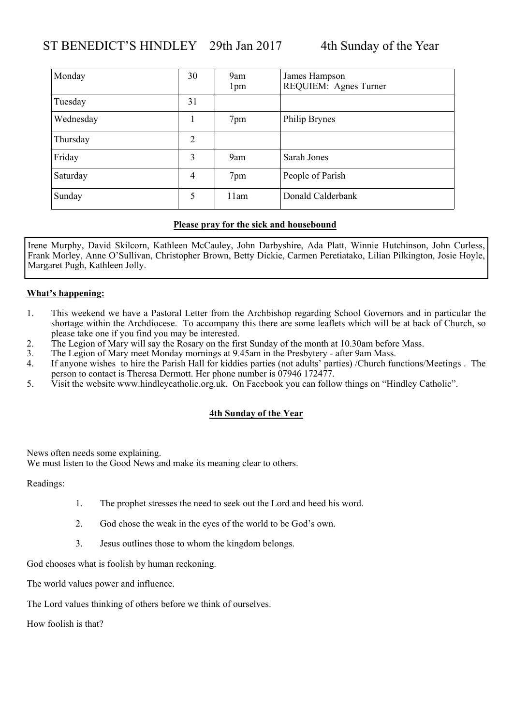### ST BENEDICT'S HINDLEY 29th Jan 2017 4th Sunday of the Year

| Monday    | 30             | 9am<br>1 <sub>pm</sub> | James Hampson<br>REQUIEM: Agnes Turner |
|-----------|----------------|------------------------|----------------------------------------|
| Tuesday   | 31             |                        |                                        |
| Wednesday |                | 7pm                    | Philip Brynes                          |
| Thursday  | $\overline{2}$ |                        |                                        |
| Friday    | 3              | 9am                    | Sarah Jones                            |
| Saturday  | 4              | 7pm                    | People of Parish                       |
| Sunday    | 5              | 11am                   | Donald Calderbank                      |

#### **Please pray for the sick and housebound**

Irene Murphy, David Skilcorn, Kathleen McCauley, John Darbyshire, Ada Platt, Winnie Hutchinson, John Curless, Frank Morley, Anne O'Sullivan, Christopher Brown, Betty Dickie, Carmen Peretiatako, Lilian Pilkington, Josie Hoyle, Margaret Pugh, Kathleen Jolly.

#### **What's happening:**

- 1. This weekend we have a Pastoral Letter from the Archbishop regarding School Governors and in particular the shortage within the Archdiocese. To accompany this there are some leaflets which will be at back of Church, so please take one if you find you may be interested.
- 2. The Legion of Mary will say the Rosary on the first Sunday of the month at 10.30am before Mass.
- 3. The Legion of Mary meet Monday mornings at 9.45am in the Presbytery after 9am Mass.
- 4. If anyone wishes to hire the Parish Hall for kiddies parties (not adults' parties) /Church functions/Meetings . The person to contact is Theresa Dermott. Her phone number is 07946 172477.
- 5. Visit the website www.hindleycatholic.org.uk. On Facebook you can follow things on "Hindley Catholic".

#### **4th Sunday of the Year**

News often needs some explaining.

We must listen to the Good News and make its meaning clear to others.

Readings:

- 1. The prophet stresses the need to seek out the Lord and heed his word.
- 2. God chose the weak in the eyes of the world to be God's own.
- 3. Jesus outlines those to whom the kingdom belongs.

God chooses what is foolish by human reckoning.

The world values power and influence.

The Lord values thinking of others before we think of ourselves.

How foolish is that?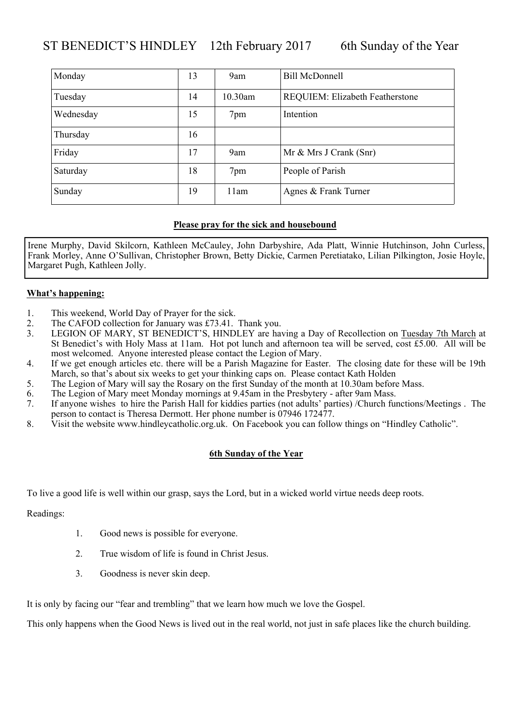### ST BENEDICT'S HINDLEY 12th February 2017 6th Sunday of the Year

| Monday    | 13 | 9am     | <b>Bill McDonnell</b>           |
|-----------|----|---------|---------------------------------|
| Tuesday   | 14 | 10.30am | REQUIEM: Elizabeth Featherstone |
| Wednesday | 15 | 7pm     | Intention                       |
| Thursday  | 16 |         |                                 |
| Friday    | 17 | 9am     | Mr & Mrs J Crank (Snr)          |
| Saturday  | 18 | 7pm     | People of Parish                |
| Sunday    | 19 | 11am    | Agnes & Frank Turner            |

#### **Please pray for the sick and housebound**

Irene Murphy, David Skilcorn, Kathleen McCauley, John Darbyshire, Ada Platt, Winnie Hutchinson, John Curless, Frank Morley, Anne O'Sullivan, Christopher Brown, Betty Dickie, Carmen Peretiatako, Lilian Pilkington, Josie Hoyle, Margaret Pugh, Kathleen Jolly.

#### **What's happening:**

- 1. This weekend, World Day of Prayer for the sick.
- 2. The CAFOD collection for January was £73.41. Thank you.
- 3. LEGION OF MARY, ST BENEDICT'S, HINDLEY are having a Day of Recollection on Tuesday 7th March at St Benedict's with Holy Mass at 11am. Hot pot lunch and afternoon tea will be served, cost £5.00. All will be most welcomed. Anyone interested please contact the Legion of Mary.
- 4. If we get enough articles etc. there will be a Parish Magazine for Easter. The closing date for these will be 19th March, so that's about six weeks to get your thinking caps on. Please contact Kath Holden
- 5. The Legion of Mary will say the Rosary on the first Sunday of the month at 10.30am before Mass.
- 6. The Legion of Mary meet Monday mornings at 9.45am in the Presbytery after 9am Mass.
- 7. If anyone wishes to hire the Parish Hall for kiddies parties (not adults' parties) /Church functions/Meetings . The person to contact is Theresa Dermott. Her phone number is 07946 172477.
- 8. Visit the website www.hindleycatholic.org.uk. On Facebook you can follow things on "Hindley Catholic".

#### **6th Sunday of the Year**

To live a good life is well within our grasp, says the Lord, but in a wicked world virtue needs deep roots.

Readings:

- 1. Good news is possible for everyone.
- 2. True wisdom of life is found in Christ Jesus.
- 3. Goodness is never skin deep.

It is only by facing our "fear and trembling" that we learn how much we love the Gospel.

This only happens when the Good News is lived out in the real world, not just in safe places like the church building.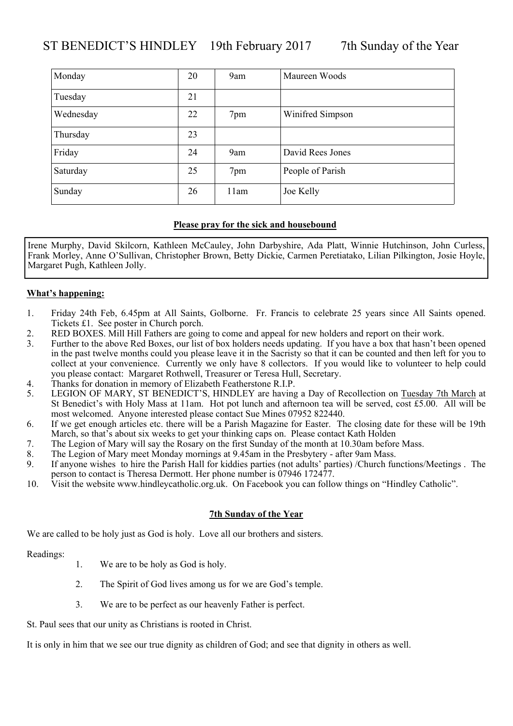### ST BENEDICT'S HINDLEY 19th February 2017 7th Sunday of the Year

| Monday    | 20 | 9am  | Maureen Woods    |
|-----------|----|------|------------------|
| Tuesday   | 21 |      |                  |
| Wednesday | 22 | 7pm  | Winifred Simpson |
| Thursday  | 23 |      |                  |
| Friday    | 24 | 9am  | David Rees Jones |
| Saturday  | 25 | 7pm  | People of Parish |
| Sunday    | 26 | 11am | Joe Kelly        |

#### **Please pray for the sick and housebound**

Irene Murphy, David Skilcorn, Kathleen McCauley, John Darbyshire, Ada Platt, Winnie Hutchinson, John Curless, Frank Morley, Anne O'Sullivan, Christopher Brown, Betty Dickie, Carmen Peretiatako, Lilian Pilkington, Josie Hoyle, Margaret Pugh, Kathleen Jolly.

#### **What's happening:**

- 1. Friday 24th Feb, 6.45pm at All Saints, Golborne. Fr. Francis to celebrate 25 years since All Saints opened. Tickets £1. See poster in Church porch.
- 2. RED BOXES. Mill Hill Fathers are going to come and appeal for new holders and report on their work.
- 3. Further to the above Red Boxes, our list of box holders needs updating. If you have a box that hasn't been opened in the past twelve months could you please leave it in the Sacristy so that it can be counted and then left for you to collect at your convenience. Currently we only have 8 collectors. If you would like to volunteer to help could you please contact: Margaret Rothwell, Treasurer or Teresa Hull, Secretary.
- 4. Thanks for donation in memory of Elizabeth Featherstone R.I.P.
- 5. LEGION OF MARY, ST BENEDICT'S, HINDLEY are having a Day of Recollection on Tuesday 7th March at St Benedict's with Holy Mass at 11am. Hot pot lunch and afternoon tea will be served, cost £5.00. All will be most welcomed. Anyone interested please contact Sue Mines 07952 822440.
- 6. If we get enough articles etc. there will be a Parish Magazine for Easter. The closing date for these will be 19th March, so that's about six weeks to get your thinking caps on. Please contact Kath Holden
- 7. The Legion of Mary will say the Rosary on the first Sunday of the month at 10.30am before Mass.
- 8. The Legion of Mary meet Monday mornings at 9.45am in the Presbytery after 9am Mass.
- 9. If anyone wishes to hire the Parish Hall for kiddies parties (not adults' parties) /Church functions/Meetings . The person to contact is Theresa Dermott. Her phone number is 07946 172477.
- 10. Visit the website www.hindleycatholic.org.uk. On Facebook you can follow things on "Hindley Catholic".

#### **7th Sunday of the Year**

We are called to be holy just as God is holy. Love all our brothers and sisters.

Readings:

- 1. We are to be holy as God is holy.
- 2. The Spirit of God lives among us for we are God's temple.
- 3. We are to be perfect as our heavenly Father is perfect.

St. Paul sees that our unity as Christians is rooted in Christ.

It is only in him that we see our true dignity as children of God; and see that dignity in others as well.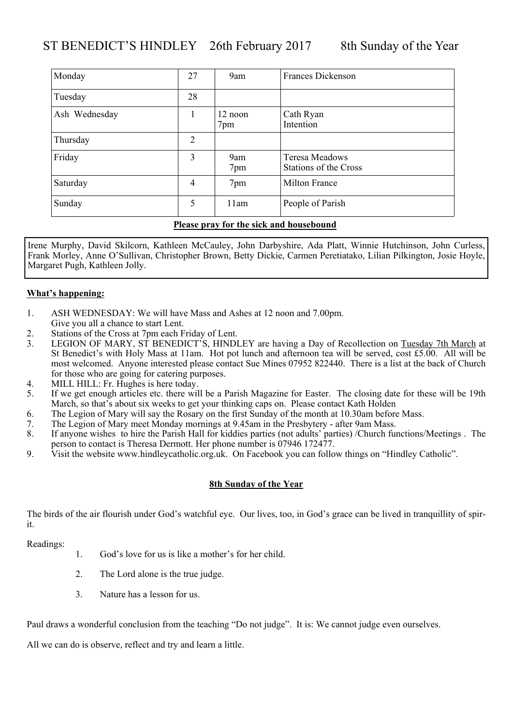| Monday        | 27             | 9am            | <b>Frances Dickenson</b>                |
|---------------|----------------|----------------|-----------------------------------------|
| Tuesday       | 28             |                |                                         |
| Ash Wednesday |                | 12 noon<br>7pm | Cath Ryan<br>Intention                  |
| Thursday      | $\overline{2}$ |                |                                         |
| Friday        | 3              | 9am<br>7pm     | Teresa Meadows<br>Stations of the Cross |
| Saturday      | $\overline{4}$ | 7pm            | <b>Milton France</b>                    |
| Sunday        | 5              | 11am           | People of Parish                        |

Irene Murphy, David Skilcorn, Kathleen McCauley, John Darbyshire, Ada Platt, Winnie Hutchinson, John Curless, Frank Morley, Anne O'Sullivan, Christopher Brown, Betty Dickie, Carmen Peretiatako, Lilian Pilkington, Josie Hoyle, Margaret Pugh, Kathleen Jolly.

#### **What's happening:**

- 1. ASH WEDNESDAY: We will have Mass and Ashes at 12 noon and 7.00pm.
- Give you all a chance to start Lent.
- 2. Stations of the Cross at 7pm each Friday of Lent.
- 3. LEGION OF MARY, ST BENEDICT'S, HINDLEY are having a Day of Recollection on Tuesday 7th March at St Benedict's with Holy Mass at 11am. Hot pot lunch and afternoon tea will be served, cost £5.00. All will be most welcomed. Anyone interested please contact Sue Mines 07952 822440. There is a list at the back of Church for those who are going for catering purposes.
- 4. MILL HILL: Fr. Hughes is here today.
- 5. If we get enough articles etc. there will be a Parish Magazine for Easter. The closing date for these will be 19th March, so that's about six weeks to get your thinking caps on. Please contact Kath Holden
- 6. The Legion of Mary will say the Rosary on the first Sunday of the month at 10.30am before Mass.
- 7. The Legion of Mary meet Monday mornings at 9.45am in the Presbytery after 9am Mass.
- 8. If anyone wishes to hire the Parish Hall for kiddies parties (not adults' parties) /Church functions/Meetings . The person to contact is Theresa Dermott. Her phone number is 07946 172477.
- 9. Visit the website www.hindleycatholic.org.uk. On Facebook you can follow things on "Hindley Catholic".

#### **8th Sunday of the Year**

The birds of the air flourish under God's watchful eye. Our lives, too, in God's grace can be lived in tranquillity of spirit.

Readings:

- 1. God's love for us is like a mother's for her child.
- 2. The Lord alone is the true judge.
- 3. Nature has a lesson for us.

Paul draws a wonderful conclusion from the teaching "Do not judge". It is: We cannot judge even ourselves.

All we can do is observe, reflect and try and learn a little.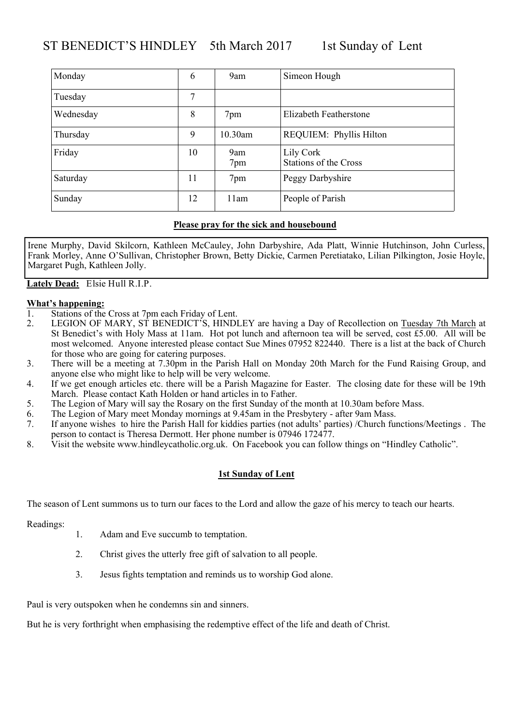## ST BENEDICT'S HINDLEY 5th March 2017 1st Sunday of Lent

| Monday    | 6  | 9am        | Simeon Hough                              |
|-----------|----|------------|-------------------------------------------|
| Tuesday   | 7  |            |                                           |
| Wednesday | 8  | 7pm        | Elizabeth Featherstone                    |
| Thursday  | 9  | 10.30am    | REQUIEM: Phyllis Hilton                   |
| Friday    | 10 | 9am<br>7pm | Lily Cork<br><b>Stations of the Cross</b> |
| Saturday  | 11 | 7pm        | Peggy Darbyshire                          |
| Sunday    | 12 | 11am       | People of Parish                          |

#### **Please pray for the sick and housebound**

Irene Murphy, David Skilcorn, Kathleen McCauley, John Darbyshire, Ada Platt, Winnie Hutchinson, John Curless, Frank Morley, Anne O'Sullivan, Christopher Brown, Betty Dickie, Carmen Peretiatako, Lilian Pilkington, Josie Hoyle, Margaret Pugh, Kathleen Jolly.

**Lately Dead:** Elsie Hull R.I.P.

- **What's happening:**<br><sup>1</sup> Stations of the Stations of the Cross at 7pm each Friday of Lent.
- 2. LEGION OF MARY, ST BENEDICT'S, HINDLEY are having a Day of Recollection on Tuesday 7th March at St Benedict's with Holy Mass at 11am. Hot pot lunch and afternoon tea will be served, cost £5.00. All will be most welcomed. Anyone interested please contact Sue Mines 07952 822440. There is a list at the back of Church for those who are going for catering purposes.
- 3. There will be a meeting at 7.30pm in the Parish Hall on Monday 20th March for the Fund Raising Group, and anyone else who might like to help will be very welcome.
- 4. If we get enough articles etc. there will be a Parish Magazine for Easter. The closing date for these will be 19th March. Please contact Kath Holden or hand articles in to Father.
- 5. The Legion of Mary will say the Rosary on the first Sunday of the month at 10.30am before Mass.
- 6. The Legion of Mary meet Monday mornings at 9.45am in the Presbytery after 9am Mass.
- 7. If anyone wishes to hire the Parish Hall for kiddies parties (not adults' parties) /Church functions/Meetings . The person to contact is Theresa Dermott. Her phone number is 07946 172477.
- 8. Visit the website www.hindleycatholic.org.uk. On Facebook you can follow things on "Hindley Catholic".

#### **1st Sunday of Lent**

The season of Lent summons us to turn our faces to the Lord and allow the gaze of his mercy to teach our hearts.

Readings:

- 1. Adam and Eve succumb to temptation.
- 2. Christ gives the utterly free gift of salvation to all people.
- 3. Jesus fights temptation and reminds us to worship God alone.

Paul is very outspoken when he condemns sin and sinners.

But he is very forthright when emphasising the redemptive effect of the life and death of Christ.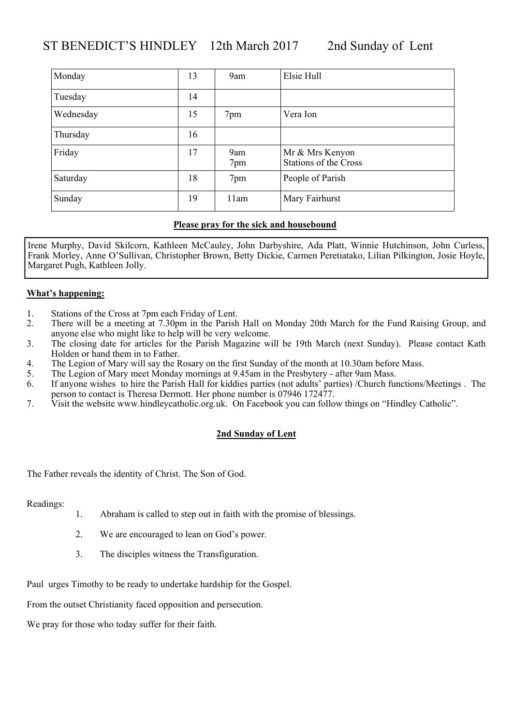## ST BENEDICT'S HINDLEY 12th March 2017 2nd Sunday of Lent

| Monday    | 13 | 9am        | Elsie Hull                                      |
|-----------|----|------------|-------------------------------------------------|
| Tuesday   | 14 |            |                                                 |
| Wednesday | 15 | 7pm        | Vera Ion                                        |
| Thursday  | 16 |            |                                                 |
| Friday    | 17 | 9am<br>7pm | Mr & Mrs Kenyon<br><b>Stations of the Cross</b> |
| Saturday  | 18 | 7pm        | People of Parish                                |
| Sunday    | 19 | 11am       | Mary Fairhurst                                  |

#### **Please pray for the sick and housebound**

Irene Murphy, David Skilcorn, Kathleen McCauley, John Darbyshire, Ada Platt, Winnie Hutchinson, John Curless, Frank Morley, Anne O'Sullivan, Christopher Brown, Betty Dickie, Carmen Peretiatako, Lilian Pilkington, Josie Hoyle, Margaret Pugh, Kathleen Jolly.

#### **What's happening:**

- 1. Stations of the Cross at 7pm each Friday of Lent.
- 2. There will be a meeting at 7.30pm in the Parish Hall on Monday 20th March for the Fund Raising Group, and anyone else who might like to help will be very welcome.
- 3. The closing date for articles for the Parish Magazine will be 19th March (next Sunday). Please contact Kath Holden or hand them in to Father.
- 4. The Legion of Mary will say the Rosary on the first Sunday of the month at 10.30am before Mass.<br>5. The Legion of Mary meet Monday mornings at 9.45am in the Presbytery after 9am Mass.
- The Legion of Mary meet Monday mornings at 9.45am in the Presbytery after 9am Mass.
- 6. If anyone wishes to hire the Parish Hall for kiddies parties (not adults' parties) /Church functions/Meetings . The person to contact is Theresa Dermott. Her phone number is 07946 172477.
- 7. Visit the website www.hindleycatholic.org.uk. On Facebook you can follow things on "Hindley Catholic".

#### **2nd Sunday of Lent**

The Father reveals the identity of Christ. The Son of God.

Readings:

- 1. Abraham is called to step out in faith with the promise of blessings.
- 2. We are encouraged to lean on God's power.
- 3. The disciples witness the Transfiguration.

Paul urges Timothy to be ready to undertake hardship for the Gospel.

From the outset Christianity faced opposition and persecution.

We pray for those who today suffer for their faith.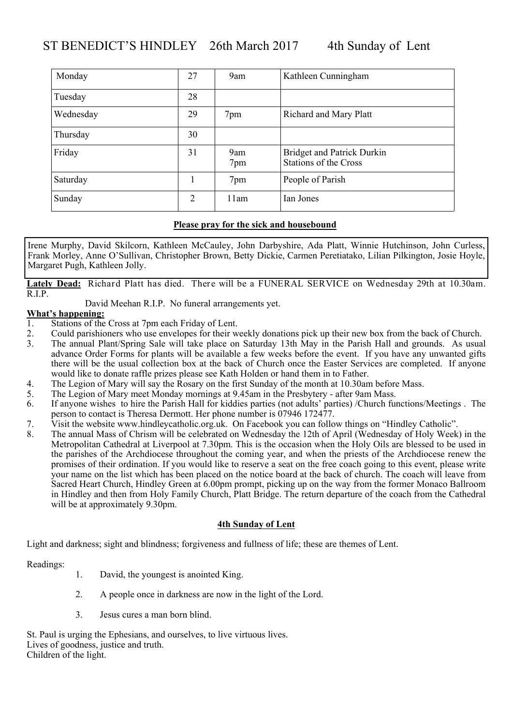| Monday    | 27             | 9am        | Kathleen Cunningham                                               |
|-----------|----------------|------------|-------------------------------------------------------------------|
| Tuesday   | 28             |            |                                                                   |
| Wednesday | 29             | 7pm        | <b>Richard and Mary Platt</b>                                     |
| Thursday  | 30             |            |                                                                   |
| Friday    | 31             | 9am<br>7pm | <b>Bridget and Patrick Durkin</b><br><b>Stations of the Cross</b> |
| Saturday  |                | 7pm        | People of Parish                                                  |
| Sunday    | $\overline{2}$ | 11am       | Ian Jones                                                         |

Irene Murphy, David Skilcorn, Kathleen McCauley, John Darbyshire, Ada Platt, Winnie Hutchinson, John Curless, Frank Morley, Anne O'Sullivan, Christopher Brown, Betty Dickie, Carmen Peretiatako, Lilian Pilkington, Josie Hoyle, Margaret Pugh, Kathleen Jolly.

**Lately Dead:** Richard Platt has died. There will be a FUNERAL SERVICE on Wednesday 29th at 10.30am. R.I.P.

David Meehan R.I.P. No funeral arrangements yet.

# **What's happening:**<br>1. Stations of the

- Stations of the Cross at 7pm each Friday of Lent.
- 2. Could parishioners who use envelopes for their weekly donations pick up their new box from the back of Church.<br><sup>3</sup> The annual Plant/Spring Sale will take place on Saturday 13th May in the Parish Hall and grounds As usua
- The annual Plant/Spring Sale will take place on Saturday 13th May in the Parish Hall and grounds. As usual advance Order Forms for plants will be available a few weeks before the event. If you have any unwanted gifts there will be the usual collection box at the back of Church once the Easter Services are completed. If anyone would like to donate raffle prizes please see Kath Holden or hand them in to Father.
- 4. The Legion of Mary will say the Rosary on the first Sunday of the month at 10.30am before Mass.
- 5. The Legion of Mary meet Monday mornings at 9.45am in the Presbytery after 9am Mass.
- 6. If anyone wishes to hire the Parish Hall for kiddies parties (not adults' parties) /Church functions/Meetings . The person to contact is Theresa Dermott. Her phone number is 07946 172477.
- 7. Visit the website www.hindleycatholic.org.uk. On Facebook you can follow things on "Hindley Catholic".
- 8. The annual Mass of Chrism will be celebrated on Wednesday the 12th of April (Wednesday of Holy Week) in the Metropolitan Cathedral at Liverpool at 7.30pm. This is the occasion when the Holy Oils are blessed to be used in the parishes of the Archdiocese throughout the coming year, and when the priests of the Archdiocese renew the promises of their ordination. If you would like to reserve a seat on the free coach going to this event, please write your name on the list which has been placed on the notice board at the back of church. The coach will leave from Sacred Heart Church, Hindley Green at 6.00pm prompt, picking up on the way from the former Monaco Ballroom in Hindley and then from Holy Family Church, Platt Bridge. The return departure of the coach from the Cathedral will be at approximately 9.30pm.

#### **4th Sunday of Lent**

Light and darkness; sight and blindness; forgiveness and fullness of life; these are themes of Lent.

Readings:

- 1. David, the youngest is anointed King.
- 2. A people once in darkness are now in the light of the Lord.
- 3. Jesus cures a man born blind.

St. Paul is urging the Ephesians, and ourselves, to live virtuous lives. Lives of goodness, justice and truth. Children of the light.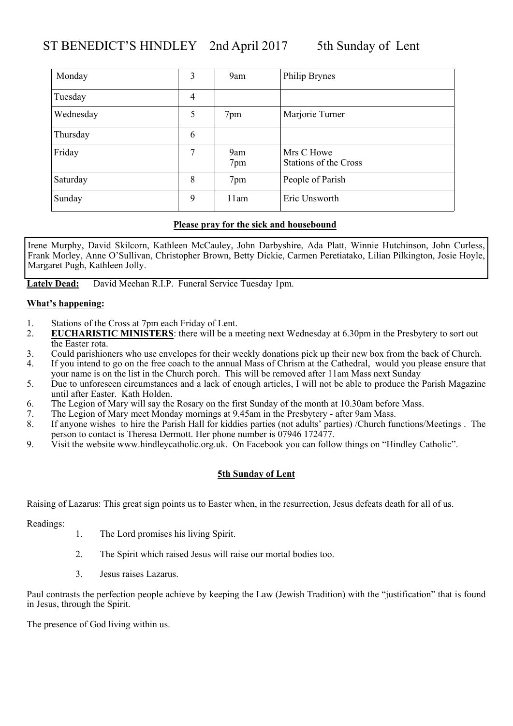## ST BENEDICT'S HINDLEY 2nd April 2017 5th Sunday of Lent

| Monday    | 3 | 9am        | Philip Brynes                              |
|-----------|---|------------|--------------------------------------------|
| Tuesday   | 4 |            |                                            |
| Wednesday | 5 | 7pm        | Marjorie Turner                            |
| Thursday  | 6 |            |                                            |
| Friday    | 7 | 9am<br>7pm | Mrs C Howe<br><b>Stations of the Cross</b> |
| Saturday  | 8 | 7pm        | People of Parish                           |
| Sunday    | 9 | 11am       | Eric Unsworth                              |

#### **Please pray for the sick and housebound**

Irene Murphy, David Skilcorn, Kathleen McCauley, John Darbyshire, Ada Platt, Winnie Hutchinson, John Curless, Frank Morley, Anne O'Sullivan, Christopher Brown, Betty Dickie, Carmen Peretiatako, Lilian Pilkington, Josie Hoyle, Margaret Pugh, Kathleen Jolly.

**Lately Dead:** David Meehan R.I.P. Funeral Service Tuesday 1pm.

#### **What's happening:**

- 1. Stations of the Cross at 7pm each Friday of Lent.
- 2. **EUCHARISTIC MINISTERS**: there will be a meeting next Wednesday at 6.30pm in the Presbytery to sort out the Easter rota.
- 3. Could parishioners who use envelopes for their weekly donations pick up their new box from the back of Church.
- 4. If you intend to go on the free coach to the annual Mass of Chrism at the Cathedral, would you please ensure that your name is on the list in the Church porch. This will be removed after 11am Mass next Sunday
- 5. Due to unforeseen circumstances and a lack of enough articles, I will not be able to produce the Parish Magazine until after Easter. Kath Holden.
- 6. The Legion of Mary will say the Rosary on the first Sunday of the month at 10.30am before Mass.
- 7. The Legion of Mary meet Monday mornings at 9.45am in the Presbytery after 9am Mass.
- 8. If anyone wishes to hire the Parish Hall for kiddies parties (not adults' parties) /Church functions/Meetings . The person to contact is Theresa Dermott. Her phone number is 07946 172477.
- 9. Visit the website www.hindleycatholic.org.uk. On Facebook you can follow things on "Hindley Catholic".

#### **5th Sunday of Lent**

Raising of Lazarus: This great sign points us to Easter when, in the resurrection, Jesus defeats death for all of us.

Readings:

- 1. The Lord promises his living Spirit.
- 2. The Spirit which raised Jesus will raise our mortal bodies too.
- 3. Jesus raises Lazarus.

Paul contrasts the perfection people achieve by keeping the Law (Jewish Tradition) with the "justification" that is found in Jesus, through the Spirit.

The presence of God living within us.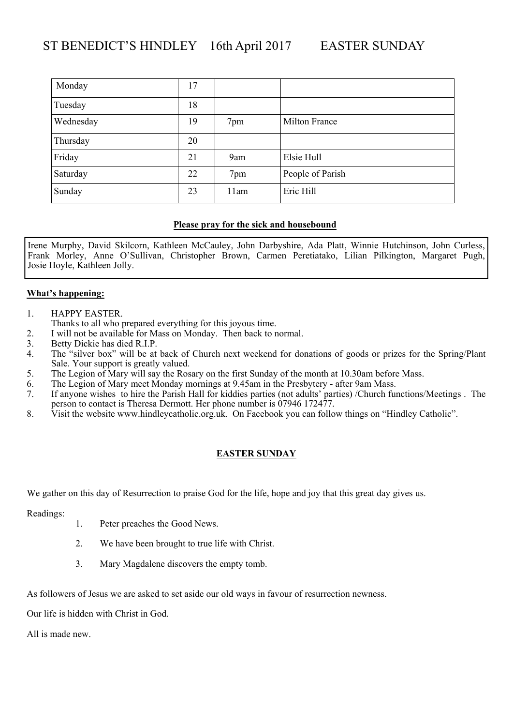| Monday    | 17 |      |                  |
|-----------|----|------|------------------|
| Tuesday   | 18 |      |                  |
| Wednesday | 19 | 7pm  | Milton France    |
| Thursday  | 20 |      |                  |
| Friday    | 21 | 9am  | Elsie Hull       |
| Saturday  | 22 | 7pm  | People of Parish |
| Sunday    | 23 | 11am | Eric Hill        |

Irene Murphy, David Skilcorn, Kathleen McCauley, John Darbyshire, Ada Platt, Winnie Hutchinson, John Curless, Frank Morley, Anne O'Sullivan, Christopher Brown, Carmen Peretiatako, Lilian Pilkington, Margaret Pugh, Josie Hoyle, Kathleen Jolly.

#### **What's happening:**

- 1. HAPPY EASTER.
	- Thanks to all who prepared everything for this joyous time.
- 2. I will not be available for Mass on Monday. Then back to normal.<br>3. Betty Dickie has died R.I.P.
- 3. Betty Dickie has died R.I.P.<br>4. The "silver box" will be at
- The "silver box" will be at back of Church next weekend for donations of goods or prizes for the Spring/Plant Sale. Your support is greatly valued.
- 5. The Legion of Mary will say the Rosary on the first Sunday of the month at 10.30am before Mass.
- 6. The Legion of Mary meet Monday mornings at 9.45am in the Presbytery after 9am Mass.
- 7. If anyone wishes to hire the Parish Hall for kiddies parties (not adults' parties) /Church functions/Meetings . The person to contact is Theresa Dermott. Her phone number is 07946 172477.
- 8. Visit the website www.hindleycatholic.org.uk. On Facebook you can follow things on "Hindley Catholic".

### **EASTER SUNDAY**

We gather on this day of Resurrection to praise God for the life, hope and joy that this great day gives us.

Readings:

- 1. Peter preaches the Good News.
- 2. We have been brought to true life with Christ.
- 3. Mary Magdalene discovers the empty tomb.

As followers of Jesus we are asked to set aside our old ways in favour of resurrection newness.

Our life is hidden with Christ in God.

All is made new.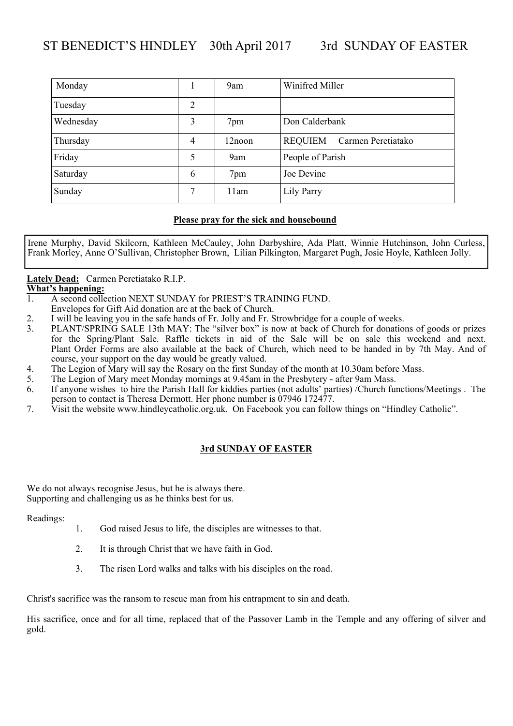| Monday    |   | 9am    | Winifred Miller                      |
|-----------|---|--------|--------------------------------------|
| Tuesday   | 2 |        |                                      |
| Wednesday | 3 | 7pm    | Don Calderbank                       |
| Thursday  | 4 | 12noon | <b>REQUIEM</b><br>Carmen Peretiatako |
| Friday    | 5 | 9am    | People of Parish                     |
| Saturday  | 6 | 7pm    | Joe Devine                           |
| Sunday    | 7 | 11am   | Lily Parry                           |

Irene Murphy, David Skilcorn, Kathleen McCauley, John Darbyshire, Ada Platt, Winnie Hutchinson, John Curless, Frank Morley, Anne O'Sullivan, Christopher Brown, Lilian Pilkington, Margaret Pugh, Josie Hoyle, Kathleen Jolly.

**Lately Dead:** Carmen Peretiatako R.I.P.

# **What's happening:**<br> **1** A second colle

- 1. A second collection NEXT SUNDAY for PRIEST'S TRAINING FUND.
- Envelopes for Gift Aid donation are at the back of Church.
- 2. I will be leaving you in the safe hands of Fr. Jolly and Fr. Strowbridge for a couple of weeks.<br>PLANT/SPRING SALE 13th MAY: The "silver box" is now at back of Church for donation
- 3. PLANT/SPRING SALE 13th MAY: The "silver box" is now at back of Church for donations of goods or prizes for the Spring/Plant Sale. Raffle tickets in aid of the Sale will be on sale this weekend and next. Plant Order Forms are also available at the back of Church, which need to be handed in by 7th May. And of course, your support on the day would be greatly valued.
- 4. The Legion of Mary will say the Rosary on the first Sunday of the month at 10.30am before Mass.
- 5. The Legion of Mary meet Monday mornings at 9.45am in the Presbytery after 9am Mass.
- 6. If anyone wishes to hire the Parish Hall for kiddies parties (not adults' parties) /Church functions/Meetings . The person to contact is Theresa Dermott. Her phone number is 07946 172477.
- 7. Visit the website www.hindleycatholic.org.uk. On Facebook you can follow things on "Hindley Catholic".

### **3rd SUNDAY OF EASTER**

We do not always recognise Jesus, but he is always there. Supporting and challenging us as he thinks best for us.

Readings:

- 1. God raised Jesus to life, the disciples are witnesses to that.
- 2. It is through Christ that we have faith in God.
- 3. The risen Lord walks and talks with his disciples on the road.

Christ's sacrifice was the ransom to rescue man from his entrapment to sin and death.

His sacrifice, once and for all time, replaced that of the Passover Lamb in the Temple and any offering of silver and gold.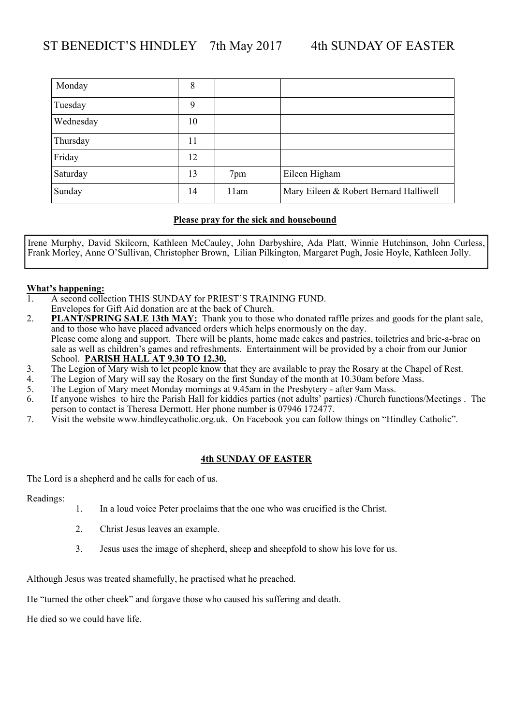| Monday    | 8  |      |                                        |
|-----------|----|------|----------------------------------------|
| Tuesday   | 9  |      |                                        |
| Wednesday | 10 |      |                                        |
| Thursday  | 11 |      |                                        |
| Friday    | 12 |      |                                        |
| Saturday  | 13 | 7pm  | Eileen Higham                          |
| Sunday    | 14 | 11am | Mary Eileen & Robert Bernard Halliwell |

Irene Murphy, David Skilcorn, Kathleen McCauley, John Darbyshire, Ada Platt, Winnie Hutchinson, John Curless, Frank Morley, Anne O'Sullivan, Christopher Brown, Lilian Pilkington, Margaret Pugh, Josie Hoyle, Kathleen Jolly.

# **What's happening:**<br> **1** A second colle

- 1. A second collection THIS SUNDAY for PRIEST'S TRAINING FUND. Envelopes for Gift Aid donation are at the back of Church.
- 2. **PLANT/SPRING SALE 13th MAY:** Thank you to those who donated raffle prizes and goods for the plant sale, and to those who have placed advanced orders which helps enormously on the day. Please come along and support. There will be plants, home made cakes and pastries, toiletries and bric-a-brac on sale as well as children's games and refreshments. Entertainment will be provided by a choir from our Junior School. **PARISH HALL AT 9.30 TO 12.30.**
- 3. The Legion of Mary wish to let people know that they are available to pray the Rosary at the Chapel of Rest.
- 4. The Legion of Mary will say the Rosary on the first Sunday of the month at 10.30am before Mass.
- 5. The Legion of Mary meet Monday mornings at 9.45am in the Presbytery after 9am Mass.
- 6. If anyone wishes to hire the Parish Hall for kiddies parties (not adults' parties) /Church functions/Meetings . The person to contact is Theresa Dermott. Her phone number is 07946 172477.
- 7. Visit the website www.hindleycatholic.org.uk. On Facebook you can follow things on "Hindley Catholic".

#### **4th SUNDAY OF EASTER**

The Lord is a shepherd and he calls for each of us.

Readings:

- 1. In a loud voice Peter proclaims that the one who was crucified is the Christ.
- 2. Christ Jesus leaves an example.
- 3. Jesus uses the image of shepherd, sheep and sheepfold to show his love for us.

Although Jesus was treated shamefully, he practised what he preached.

He "turned the other cheek" and forgave those who caused his suffering and death.

He died so we could have life.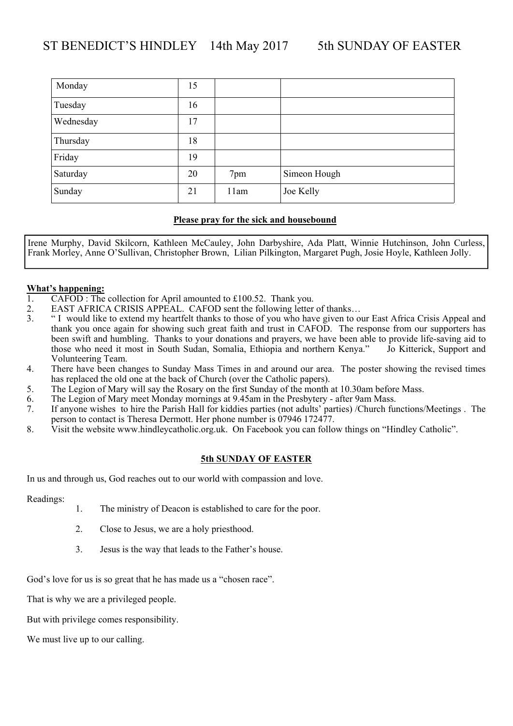| Monday    | 15 |      |              |
|-----------|----|------|--------------|
| Tuesday   | 16 |      |              |
| Wednesday | 17 |      |              |
| Thursday  | 18 |      |              |
| Friday    | 19 |      |              |
| Saturday  | 20 | 7pm  | Simeon Hough |
| Sunday    | 21 | 11am | Joe Kelly    |

Irene Murphy, David Skilcorn, Kathleen McCauley, John Darbyshire, Ada Platt, Winnie Hutchinson, John Curless, Frank Morley, Anne O'Sullivan, Christopher Brown, Lilian Pilkington, Margaret Pugh, Josie Hoyle, Kathleen Jolly.

#### **What's happening:**

- 1. CAFOD : The collection for April amounted to £100.52. Thank you.
- 2. EAST AFRICA CRISIS APPEAL. CAFOD sent the following letter of thanks...<br><sup>3</sup> "I would like to extend my heartfelt thanks to those of you who have given to o
- 3. " I would like to extend my heartfelt thanks to those of you who have given to our East Africa Crisis Appeal and thank you once again for showing such great faith and trust in CAFOD. The response from our supporters has been swift and humbling. Thanks to your donations and prayers, we have been able to provide life-saving aid to those who need it most in South Sudan, Somalia, Ethiopia and northern Kenya." Jo Kitterick, Support and Volunteering Team.
- 4. There have been changes to Sunday Mass Times in and around our area. The poster showing the revised times has replaced the old one at the back of Church (over the Catholic papers).
- 5. The Legion of Mary will say the Rosary on the first Sunday of the month at 10.30am before Mass.
- 6. The Legion of Mary meet Monday mornings at 9.45am in the Presbytery after 9am Mass.
- 7. If anyone wishes to hire the Parish Hall for kiddies parties (not adults' parties) /Church functions/Meetings . The person to contact is Theresa Dermott. Her phone number is 07946 172477.
- 8. Visit the website www.hindleycatholic.org.uk. On Facebook you can follow things on "Hindley Catholic".

#### **5th SUNDAY OF EASTER**

In us and through us, God reaches out to our world with compassion and love.

Readings:

- 1. The ministry of Deacon is established to care for the poor.
- 2. Close to Jesus, we are a holy priesthood.
- 3. Jesus is the way that leads to the Father's house.

God's love for us is so great that he has made us a "chosen race".

That is why we are a privileged people.

But with privilege comes responsibility.

We must live up to our calling.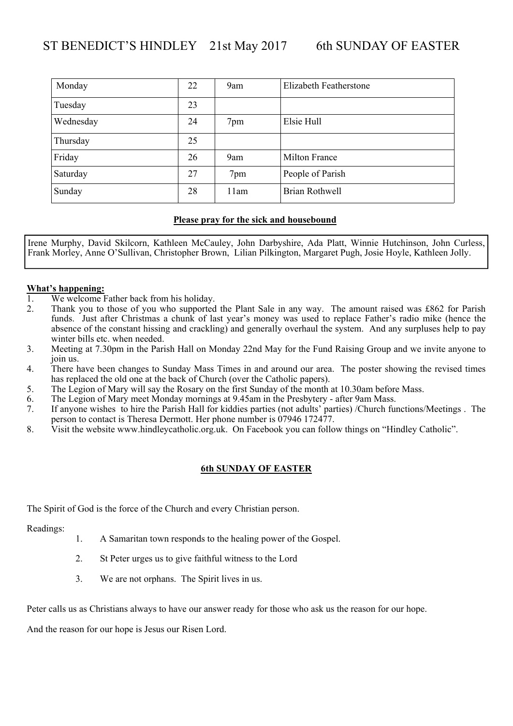| Monday    | 22 | 9am  | Elizabeth Featherstone |
|-----------|----|------|------------------------|
| Tuesday   | 23 |      |                        |
| Wednesday | 24 | 7pm  | Elsie Hull             |
| Thursday  | 25 |      |                        |
| Friday    | 26 | 9am  | Milton France          |
| Saturday  | 27 | 7pm  | People of Parish       |
| Sunday    | 28 | 11am | Brian Rothwell         |

Irene Murphy, David Skilcorn, Kathleen McCauley, John Darbyshire, Ada Platt, Winnie Hutchinson, John Curless, Frank Morley, Anne O'Sullivan, Christopher Brown, Lilian Pilkington, Margaret Pugh, Josie Hoyle, Kathleen Jolly.

# **What's happening:**

- We welcome Father back from his holiday.
- 2. Thank you to those of you who supported the Plant Sale in any way. The amount raised was £862 for Parish funds. Just after Christmas a chunk of last year's money was used to replace Father's radio mike (hence the absence of the constant hissing and crackling) and generally overhaul the system. And any surpluses help to pay winter bills etc. when needed.
- 3. Meeting at 7.30pm in the Parish Hall on Monday 22nd May for the Fund Raising Group and we invite anyone to join us.
- 4. There have been changes to Sunday Mass Times in and around our area. The poster showing the revised times has replaced the old one at the back of Church (over the Catholic papers).
- 5. The Legion of Mary will say the Rosary on the first Sunday of the month at 10.30am before Mass.
- 6. The Legion of Mary meet Monday mornings at 9.45am in the Presbytery after 9am Mass.
- 7. If anyone wishes to hire the Parish Hall for kiddies parties (not adults' parties) /Church functions/Meetings . The person to contact is Theresa Dermott. Her phone number is 07946 172477.
- 8. Visit the website www.hindleycatholic.org.uk. On Facebook you can follow things on "Hindley Catholic".

#### **6th SUNDAY OF EASTER**

The Spirit of God is the force of the Church and every Christian person.

Readings:

- 1. A Samaritan town responds to the healing power of the Gospel.
- 2. St Peter urges us to give faithful witness to the Lord
- 3. We are not orphans. The Spirit lives in us.

Peter calls us as Christians always to have our answer ready for those who ask us the reason for our hope.

And the reason for our hope is Jesus our Risen Lord.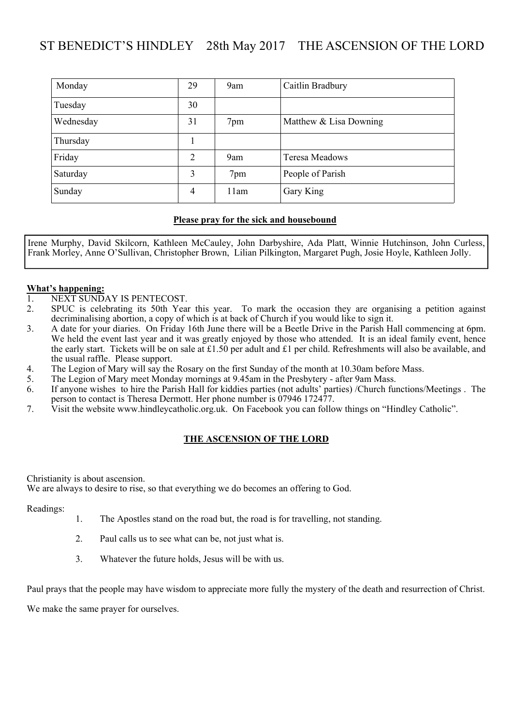## ST BENEDICT'S HINDLEY 28th May 2017 THE ASCENSION OF THE LORD

| Monday    | 29 | 9am  | Caitlin Bradbury       |
|-----------|----|------|------------------------|
| Tuesday   | 30 |      |                        |
| Wednesday | 31 | 7pm  | Matthew & Lisa Downing |
| Thursday  |    |      |                        |
| Friday    | 2  | 9am  | <b>Teresa Meadows</b>  |
| Saturday  | 3  | 7pm  | People of Parish       |
| Sunday    | 4  | 11am | Gary King              |

#### **Please pray for the sick and housebound**

Irene Murphy, David Skilcorn, Kathleen McCauley, John Darbyshire, Ada Platt, Winnie Hutchinson, John Curless, Frank Morley, Anne O'Sullivan, Christopher Brown, Lilian Pilkington, Margaret Pugh, Josie Hoyle, Kathleen Jolly.

#### **What's happening:**

- 1. NEXT SUNDAY IS PENTECOST.
- 2. SPUC is celebrating its 50th Year this year. To mark the occasion they are organising a petition against decriminalising abortion, a copy of which is at back of Church if you would like to sign it.
- 3. A date for your diaries. On Friday 16th June there will be a Beetle Drive in the Parish Hall commencing at 6pm. We held the event last year and it was greatly enjoyed by those who attended. It is an ideal family event, hence the early start. Tickets will be on sale at £1.50 per adult and £1 per child. Refreshments will also be available, and the usual raffle. Please support.
- 4. The Legion of Mary will say the Rosary on the first Sunday of the month at 10.30am before Mass.
- 5. The Legion of Mary meet Monday mornings at 9.45am in the Presbytery after 9am Mass.
- 6. If anyone wishes to hire the Parish Hall for kiddies parties (not adults' parties) /Church functions/Meetings . The person to contact is Theresa Dermott. Her phone number is 07946 172477.
- 7. Visit the website www.hindleycatholic.org.uk. On Facebook you can follow things on "Hindley Catholic".

#### **THE ASCENSION OF THE LORD**

Christianity is about ascension.

We are always to desire to rise, so that everything we do becomes an offering to God.

Readings:

- 1. The Apostles stand on the road but, the road is for travelling, not standing.
- 2. Paul calls us to see what can be, not just what is.
- 3. Whatever the future holds, Jesus will be with us.

Paul prays that the people may have wisdom to appreciate more fully the mystery of the death and resurrection of Christ.

We make the same prayer for ourselves.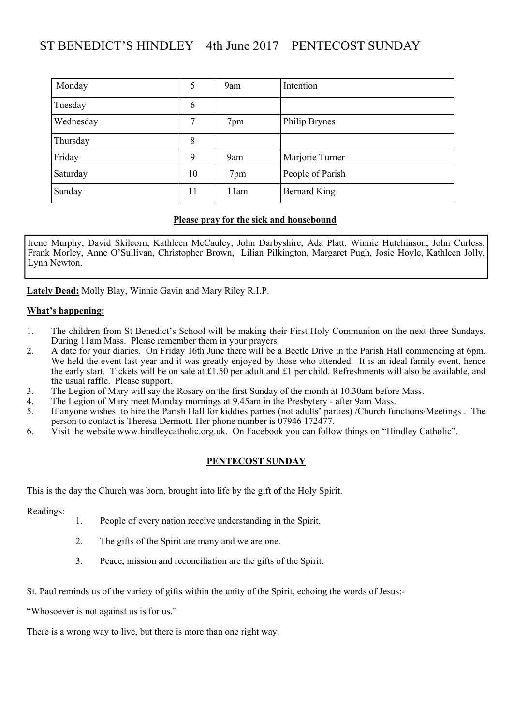## ST BENEDICT'S HINDLEY 4th June 2017 PENTECOST SUNDAY

| Monday    | 5  | 9am  | Intention        |
|-----------|----|------|------------------|
| Tuesday   | 6  |      |                  |
| Wednesday | 7  | 7pm  | Philip Brynes    |
| Thursday  | 8  |      |                  |
| Friday    | 9  | 9am  | Marjorie Turner  |
| Saturday  | 10 | 7pm  | People of Parish |
| Sunday    | 11 | 11am | Bernard King     |

#### **Please pray for the sick and housebound**

Irene Murphy, David Skilcorn, Kathleen McCauley, John Darbyshire, Ada Platt, Winnie Hutchinson, John Curless, Frank Morley, Anne O'Sullivan, Christopher Brown, Lilian Pilkington, Margaret Pugh, Josie Hoyle, Kathleen Jolly, Lynn Newton.

**Lately Dead:** Molly Blay, Winnie Gavin and Mary Riley R.I.P.

#### **What's happening:**

- 1. The children from St Benedict's School will be making their First Holy Communion on the next three Sundays. During 11am Mass. Please remember them in your prayers.
- 2. A date for your diaries. On Friday 16th June there will be a Beetle Drive in the Parish Hall commencing at 6pm. We held the event last year and it was greatly enjoyed by those who attended. It is an ideal family event, hence the early start. Tickets will be on sale at £1.50 per adult and £1 per child. Refreshments will also be available, and the usual raffle. Please support.
- 3. The Legion of Mary will say the Rosary on the first Sunday of the month at 10.30am before Mass.
- 4. The Legion of Mary meet Monday mornings at 9.45am in the Presbytery after 9am Mass.<br>5. If anyone wishes to hire the Parish Hall for kiddies parties (not adults' parties) /Church fui
- If anyone wishes to hire the Parish Hall for kiddies parties (not adults' parties) /Church functions/Meetings . The person to contact is Theresa Dermott. Her phone number is 07946 172477.
- 6. Visit the website www.hindleycatholic.org.uk. On Facebook you can follow things on "Hindley Catholic".

#### **PENTECOST SUNDAY**

This is the day the Church was born, brought into life by the gift of the Holy Spirit.

Readings:

- 1. People of every nation receive understanding in the Spirit.
- 2. The gifts of the Spirit are many and we are one.
- 3. Peace, mission and reconciliation are the gifts of the Spirit.

St. Paul reminds us of the variety of gifts within the unity of the Spirit, echoing the words of Jesus:-

"Whosoever is not against us is for us."

There is a wrong way to live, but there is more than one right way.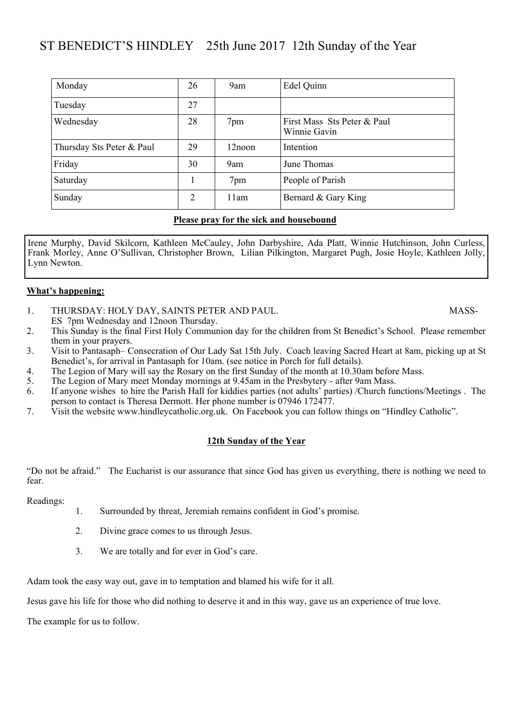### ST BENEDICT'S HINDLEY 25th June 2017 12th Sunday of the Year

| Monday                    | 26 | 9am       | Edel Quinn                                  |
|---------------------------|----|-----------|---------------------------------------------|
| Tuesday                   | 27 |           |                                             |
| Wednesday                 | 28 | 7pm       | First Mass Sts Peter & Paul<br>Winnie Gavin |
| Thursday Sts Peter & Paul | 29 | $12$ noon | Intention                                   |
| Friday                    | 30 | 9am       | June Thomas                                 |
| Saturday                  |    | 7pm       | People of Parish                            |
| Sunday                    | 2  | 11am      | Bernard & Gary King                         |

#### **Please pray for the sick and housebound**

Irene Murphy, David Skilcorn, Kathleen McCauley, John Darbyshire, Ada Platt, Winnie Hutchinson, John Curless, Frank Morley, Anne O'Sullivan, Christopher Brown, Lilian Pilkington, Margaret Pugh, Josie Hoyle, Kathleen Jolly, Lynn Newton.

#### **What's happening:**

- 1. THURSDAY: HOLY DAY, SAINTS PETER AND PAUL. MASS-ES 7pm Wednesday and 12noon Thursday.
- 2. This Sunday is the final First Holy Communion day for the children from St Benedict's School. Please remember them in your prayers.
- 3. Visit to Pantasaph– Consecration of Our Lady Sat 15th July. Coach leaving Sacred Heart at 8am, picking up at St Benedict's, for arrival in Pantasaph for 10am. (see notice in Porch for full details).
- 4. The Legion of Mary will say the Rosary on the first Sunday of the month at 10.30am before Mass.
- 5. The Legion of Mary meet Monday mornings at 9.45am in the Presbytery after 9am Mass.
- 6. If anyone wishes to hire the Parish Hall for kiddies parties (not adults' parties) /Church functions/Meetings . The person to contact is Theresa Dermott. Her phone number is 07946 172477.
- 7. Visit the website www.hindleycatholic.org.uk. On Facebook you can follow things on "Hindley Catholic".

#### **12th Sunday of the Year**

"Do not be afraid." The Eucharist is our assurance that since God has given us everything, there is nothing we need to fear.

Readings:

- 1. Surrounded by threat, Jeremiah remains confident in God's promise.
- 2. Divine grace comes to us through Jesus.
- 3. We are totally and for ever in God's care.

Adam took the easy way out, gave in to temptation and blamed his wife for it all.

Jesus gave his life for those who did nothing to deserve it and in this way, gave us an experience of true love.

The example for us to follow.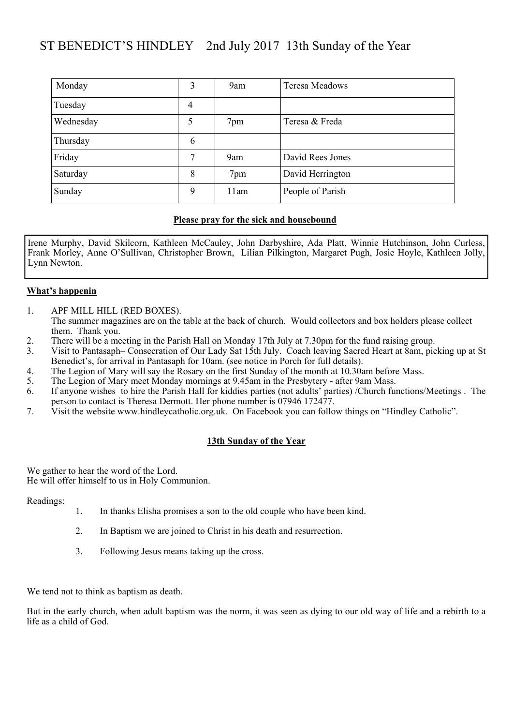## ST BENEDICT'S HINDLEY 2nd July 2017 13th Sunday of the Year

| Monday    | 3              | 9am  | Teresa Meadows   |
|-----------|----------------|------|------------------|
| Tuesday   | $\overline{4}$ |      |                  |
| Wednesday | 5              | 7pm  | Teresa & Freda   |
| Thursday  | 6              |      |                  |
| Friday    | 7              | 9am  | David Rees Jones |
| Saturday  | 8              | 7pm  | David Herrington |
| Sunday    | 9              | 11am | People of Parish |

#### **Please pray for the sick and housebound**

Irene Murphy, David Skilcorn, Kathleen McCauley, John Darbyshire, Ada Platt, Winnie Hutchinson, John Curless, Frank Morley, Anne O'Sullivan, Christopher Brown, Lilian Pilkington, Margaret Pugh, Josie Hoyle, Kathleen Jolly, Lynn Newton.

#### **What's happenin**

- 1. APF MILL HILL (RED BOXES). The summer magazines are on the table at the back of church. Would collectors and box holders please collect them. Thank you.
- 2. There will be a meeting in the Parish Hall on Monday 17th July at 7.30pm for the fund raising group.
- 3. Visit to Pantasaph– Consecration of Our Lady Sat 15th July. Coach leaving Sacred Heart at 8am, picking up at St Benedict's, for arrival in Pantasaph for 10am. (see notice in Porch for full details).
- 4. The Legion of Mary will say the Rosary on the first Sunday of the month at 10.30am before Mass.
- 5. The Legion of Mary meet Monday mornings at 9.45am in the Presbytery after 9am Mass.
- 6. If anyone wishes to hire the Parish Hall for kiddies parties (not adults' parties) /Church functions/Meetings . The person to contact is Theresa Dermott. Her phone number is 07946 172477.
- 7. Visit the website www.hindleycatholic.org.uk. On Facebook you can follow things on "Hindley Catholic".

#### **13th Sunday of the Year**

We gather to hear the word of the Lord. He will offer himself to us in Holy Communion.

Readings:

- 1. In thanks Elisha promises a son to the old couple who have been kind.
- 2. In Baptism we are joined to Christ in his death and resurrection.
- 3. Following Jesus means taking up the cross.

We tend not to think as baptism as death.

But in the early church, when adult baptism was the norm, it was seen as dying to our old way of life and a rebirth to a life as a child of God.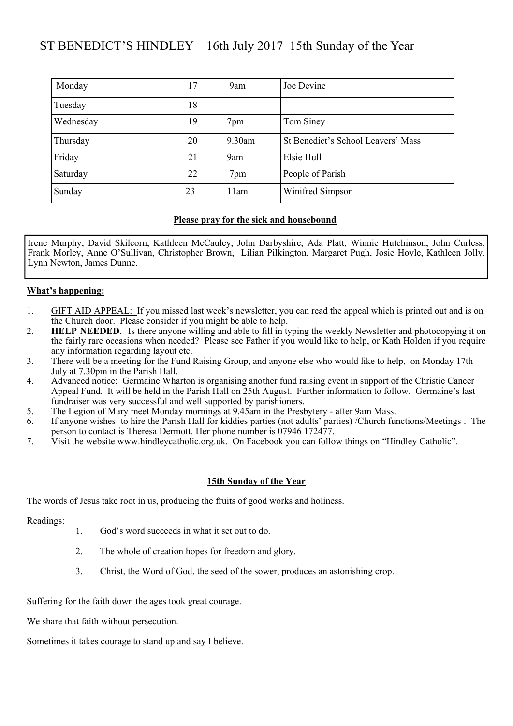## ST BENEDICT'S HINDLEY 16th July 2017 15th Sunday of the Year

| Monday    | 17 | 9am       | Joe Devine                         |
|-----------|----|-----------|------------------------------------|
| Tuesday   | 18 |           |                                    |
| Wednesday | 19 | 7pm       | Tom Siney                          |
| Thursday  | 20 | $9.30$ am | St Benedict's School Leavers' Mass |
| Friday    | 21 | 9am       | Elsie Hull                         |
| Saturday  | 22 | 7pm       | People of Parish                   |
| Sunday    | 23 | 11am      | Winifred Simpson                   |

#### **Please pray for the sick and housebound**

Irene Murphy, David Skilcorn, Kathleen McCauley, John Darbyshire, Ada Platt, Winnie Hutchinson, John Curless, Frank Morley, Anne O'Sullivan, Christopher Brown, Lilian Pilkington, Margaret Pugh, Josie Hoyle, Kathleen Jolly, Lynn Newton, James Dunne.

#### **What's happening:**

- 1. GIFT AID APPEAL: If you missed last week's newsletter, you can read the appeal which is printed out and is on the Church door. Please consider if you might be able to help.
- 2. **HELP NEEDED.** Is there anyone willing and able to fill in typing the weekly Newsletter and photocopying it on the fairly rare occasions when needed? Please see Father if you would like to help, or Kath Holden if you require any information regarding layout etc.
- 3. There will be a meeting for the Fund Raising Group, and anyone else who would like to help, on Monday 17th July at 7.30pm in the Parish Hall.
- 4. Advanced notice: Germaine Wharton is organising another fund raising event in support of the Christie Cancer Appeal Fund. It will be held in the Parish Hall on 25th August. Further information to follow. Germaine's last fundraiser was very successful and well supported by parishioners.
- 5. The Legion of Mary meet Monday mornings at 9.45am in the Presbytery after 9am Mass.
- 6. If anyone wishes to hire the Parish Hall for kiddies parties (not adults' parties) /Church functions/Meetings . The person to contact is Theresa Dermott. Her phone number is 07946 172477.
- 7. Visit the website www.hindleycatholic.org.uk. On Facebook you can follow things on "Hindley Catholic".

#### **15th Sunday of the Year**

The words of Jesus take root in us, producing the fruits of good works and holiness.

Readings:

- 1. God's word succeeds in what it set out to do.
- 2. The whole of creation hopes for freedom and glory.
- 3. Christ, the Word of God, the seed of the sower, produces an astonishing crop.

Suffering for the faith down the ages took great courage.

We share that faith without persecution.

Sometimes it takes courage to stand up and say I believe.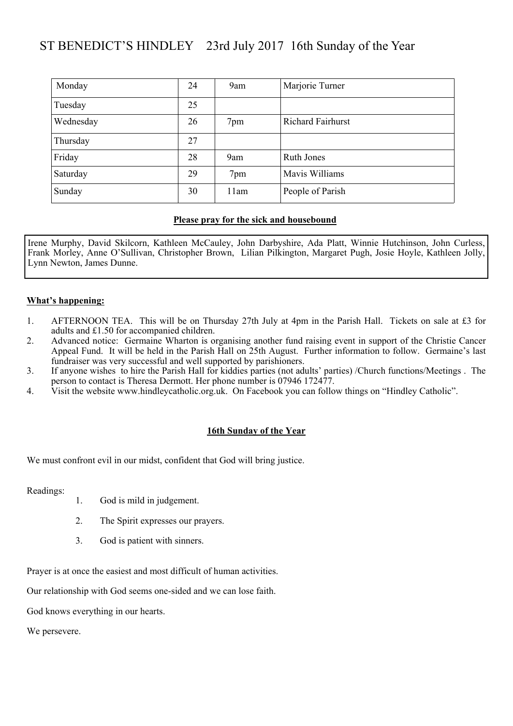## ST BENEDICT'S HINDLEY 23rd July 2017 16th Sunday of the Year

| Monday    | 24 | 9am  | Marjorie Turner          |
|-----------|----|------|--------------------------|
| Tuesday   | 25 |      |                          |
| Wednesday | 26 | 7pm  | <b>Richard Fairhurst</b> |
| Thursday  | 27 |      |                          |
| Friday    | 28 | 9am  | Ruth Jones               |
| Saturday  | 29 | 7pm  | Mavis Williams           |
| Sunday    | 30 | 11am | People of Parish         |

#### **Please pray for the sick and housebound**

Irene Murphy, David Skilcorn, Kathleen McCauley, John Darbyshire, Ada Platt, Winnie Hutchinson, John Curless, Frank Morley, Anne O'Sullivan, Christopher Brown, Lilian Pilkington, Margaret Pugh, Josie Hoyle, Kathleen Jolly, Lynn Newton, James Dunne.

#### **What's happening:**

- 1. AFTERNOON TEA. This will be on Thursday 27th July at 4pm in the Parish Hall. Tickets on sale at £3 for adults and £1.50 for accompanied children.
- 2. Advanced notice: Germaine Wharton is organising another fund raising event in support of the Christie Cancer Appeal Fund. It will be held in the Parish Hall on 25th August. Further information to follow. Germaine's last fundraiser was very successful and well supported by parishioners.
- 3. If anyone wishes to hire the Parish Hall for kiddies parties (not adults' parties) /Church functions/Meetings . The person to contact is Theresa Dermott. Her phone number is 07946 172477.
- 4. Visit the website www.hindleycatholic.org.uk. On Facebook you can follow things on "Hindley Catholic".

#### **16th Sunday of the Year**

We must confront evil in our midst, confident that God will bring justice.

Readings:

- 1. God is mild in judgement.
- 2. The Spirit expresses our prayers.
- 3. God is patient with sinners.

Prayer is at once the easiest and most difficult of human activities.

Our relationship with God seems one-sided and we can lose faith.

God knows everything in our hearts.

We persevere.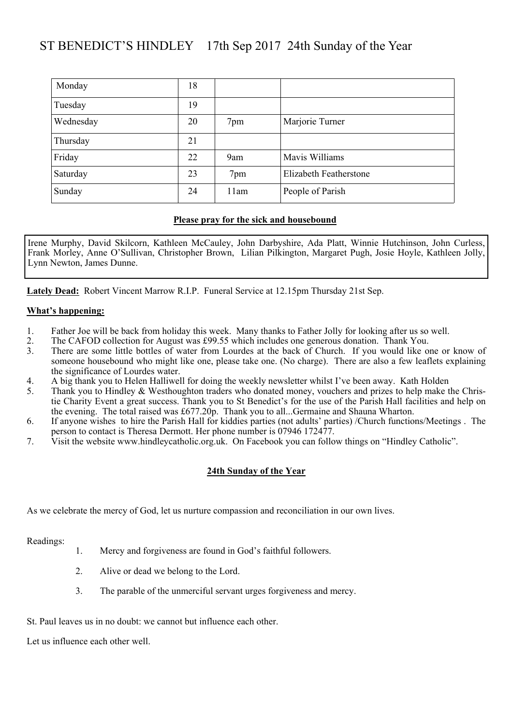### ST BENEDICT'S HINDLEY 17th Sep 2017 24th Sunday of the Year

| Monday    | 18 |      |                        |
|-----------|----|------|------------------------|
| Tuesday   | 19 |      |                        |
| Wednesday | 20 | 7pm  | Marjorie Turner        |
| Thursday  | 21 |      |                        |
| Friday    | 22 | 9am  | Mavis Williams         |
| Saturday  | 23 | 7pm  | Elizabeth Featherstone |
| Sunday    | 24 | 11am | People of Parish       |

#### **Please pray for the sick and housebound**

Irene Murphy, David Skilcorn, Kathleen McCauley, John Darbyshire, Ada Platt, Winnie Hutchinson, John Curless, Frank Morley, Anne O'Sullivan, Christopher Brown, Lilian Pilkington, Margaret Pugh, Josie Hoyle, Kathleen Jolly, Lynn Newton, James Dunne.

**Lately Dead:** Robert Vincent Marrow R.I.P. Funeral Service at 12.15pm Thursday 21st Sep.

#### **What's happening:**

- 1. Father Joe will be back from holiday this week. Many thanks to Father Jolly for looking after us so well.
- 2. The CAFOD collection for August was £99.55 which includes one generous donation. Thank You.
- 3. There are some little bottles of water from Lourdes at the back of Church. If you would like one or know of someone housebound who might like one, please take one. (No charge). There are also a few leaflets explaining the significance of Lourdes water.
- 4. A big thank you to Helen Halliwell for doing the weekly newsletter whilst I've been away. Kath Holden 5. Thank you to Hindley & Westhoughton traders who donated money, vouchers and prizes to help make to
- Thank you to Hindley & Westhoughton traders who donated money, vouchers and prizes to help make the Christie Charity Event a great success. Thank you to St Benedict's for the use of the Parish Hall facilities and help on the evening. The total raised was £677.20p. Thank you to all...Germaine and Shauna Wharton.
- 6. If anyone wishes to hire the Parish Hall for kiddies parties (not adults' parties) /Church functions/Meetings . The person to contact is Theresa Dermott. Her phone number is 07946 172477.
- 7. Visit the website www.hindleycatholic.org.uk. On Facebook you can follow things on "Hindley Catholic".

#### **24th Sunday of the Year**

As we celebrate the mercy of God, let us nurture compassion and reconciliation in our own lives.

Readings:

- 1. Mercy and forgiveness are found in God's faithful followers.
- 2. Alive or dead we belong to the Lord.
- 3. The parable of the unmerciful servant urges forgiveness and mercy.

St. Paul leaves us in no doubt: we cannot but influence each other.

Let us influence each other well.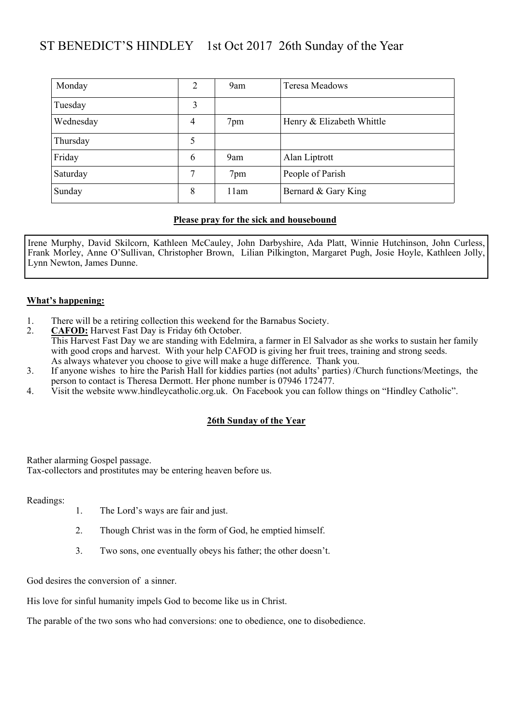## ST BENEDICT'S HINDLEY 1st Oct 2017 26th Sunday of the Year

| Monday    | $\overline{2}$ | 9am  | Teresa Meadows            |
|-----------|----------------|------|---------------------------|
| Tuesday   | 3              |      |                           |
| Wednesday | $\overline{4}$ | 7pm  | Henry & Elizabeth Whittle |
| Thursday  | 5              |      |                           |
| Friday    | 6              | 9am  | Alan Liptrott             |
| Saturday  | 7              | 7pm  | People of Parish          |
| Sunday    | 8              | 11am | Bernard & Gary King       |

#### **Please pray for the sick and housebound**

Irene Murphy, David Skilcorn, Kathleen McCauley, John Darbyshire, Ada Platt, Winnie Hutchinson, John Curless, Frank Morley, Anne O'Sullivan, Christopher Brown, Lilian Pilkington, Margaret Pugh, Josie Hoyle, Kathleen Jolly, Lynn Newton, James Dunne.

#### **What's happening:**

- 1. There will be a retiring collection this weekend for the Barnabus Society.<br>2. **CAFOD:** Harvest Fast Dav is Friday 6th October.
- **CAFOD:** Harvest Fast Day is Friday 6th October. This Harvest Fast Day we are standing with Edelmira, a farmer in El Salvador as she works to sustain her family with good crops and harvest. With your help CAFOD is giving her fruit trees, training and strong seeds. As always whatever you choose to give will make a huge difference. Thank you.
- 3. If anyone wishes to hire the Parish Hall for kiddies parties (not adults' parties) /Church functions/Meetings, the person to contact is Theresa Dermott. Her phone number is 07946 172477.
- 4. Visit the website www.hindleycatholic.org.uk. On Facebook you can follow things on "Hindley Catholic".

#### **26th Sunday of the Year**

Rather alarming Gospel passage.

Tax-collectors and prostitutes may be entering heaven before us.

Readings:

- 1. The Lord's ways are fair and just.
- 2. Though Christ was in the form of God, he emptied himself.
- 3. Two sons, one eventually obeys his father; the other doesn't.

God desires the conversion of a sinner.

His love for sinful humanity impels God to become like us in Christ.

The parable of the two sons who had conversions: one to obedience, one to disobedience.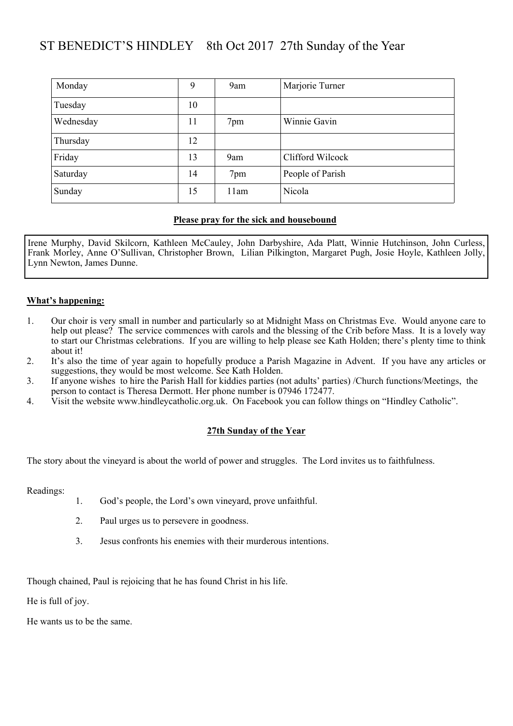## ST BENEDICT'S HINDLEY 8th Oct 2017 27th Sunday of the Year

| Monday    | 9  | 9am  | Marjorie Turner  |
|-----------|----|------|------------------|
| Tuesday   | 10 |      |                  |
| Wednesday | 11 | 7pm  | Winnie Gavin     |
| Thursday  | 12 |      |                  |
| Friday    | 13 | 9am  | Clifford Wilcock |
| Saturday  | 14 | 7pm  | People of Parish |
| Sunday    | 15 | 11am | Nicola           |

#### **Please pray for the sick and housebound**

Irene Murphy, David Skilcorn, Kathleen McCauley, John Darbyshire, Ada Platt, Winnie Hutchinson, John Curless, Frank Morley, Anne O'Sullivan, Christopher Brown, Lilian Pilkington, Margaret Pugh, Josie Hoyle, Kathleen Jolly, Lynn Newton, James Dunne.

#### **What's happening:**

- 1. Our choir is very small in number and particularly so at Midnight Mass on Christmas Eve. Would anyone care to help out please? The service commences with carols and the blessing of the Crib before Mass. It is a lovely way to start our Christmas celebrations. If you are willing to help please see Kath Holden; there's plenty time to think about it!
- 2. It's also the time of year again to hopefully produce a Parish Magazine in Advent. If you have any articles or suggestions, they would be most welcome. See Kath Holden.
- 3. If anyone wishes to hire the Parish Hall for kiddies parties (not adults' parties) /Church functions/Meetings, the person to contact is Theresa Dermott. Her phone number is 07946 172477.
- 4. Visit the website www.hindleycatholic.org.uk. On Facebook you can follow things on "Hindley Catholic".

#### **27th Sunday of the Year**

The story about the vineyard is about the world of power and struggles. The Lord invites us to faithfulness.

Readings:

- 1. God's people, the Lord's own vineyard, prove unfaithful.
- 2. Paul urges us to persevere in goodness.
- 3. Jesus confronts his enemies with their murderous intentions.

Though chained, Paul is rejoicing that he has found Christ in his life.

He is full of joy.

He wants us to be the same.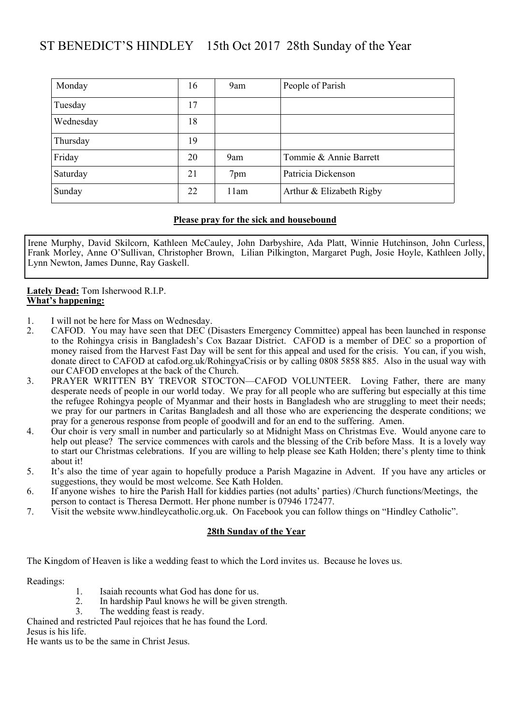## ST BENEDICT'S HINDLEY 15th Oct 2017 28th Sunday of the Year

| Monday    | 16 | 9am  | People of Parish         |
|-----------|----|------|--------------------------|
| Tuesday   | 17 |      |                          |
| Wednesday | 18 |      |                          |
| Thursday  | 19 |      |                          |
| Friday    | 20 | 9am  | Tommie & Annie Barrett   |
| Saturday  | 21 | 7pm  | Patricia Dickenson       |
| Sunday    | 22 | 11am | Arthur & Elizabeth Rigby |

#### **Please pray for the sick and housebound**

Irene Murphy, David Skilcorn, Kathleen McCauley, John Darbyshire, Ada Platt, Winnie Hutchinson, John Curless, Frank Morley, Anne O'Sullivan, Christopher Brown, Lilian Pilkington, Margaret Pugh, Josie Hoyle, Kathleen Jolly, Lynn Newton, James Dunne, Ray Gaskell.

#### **Lately Dead:** Tom Isherwood R.I.P. **What's happening:**

- 1. I will not be here for Mass on Wednesday.
- 2. CAFOD. You may have seen that DEC (Disasters Emergency Committee) appeal has been launched in response to the Rohingya crisis in Bangladesh's Cox Bazaar District. CAFOD is a member of DEC so a proportion of money raised from the Harvest Fast Day will be sent for this appeal and used for the crisis. You can, if you wish, donate direct to CAFOD at cafod.org.uk/RohingyaCrisis or by calling 0808 5858 885. Also in the usual way with our CAFOD envelopes at the back of the Church.
- 3. PRAYER WRITTEN BY TREVOR STOCTON—CAFOD VOLUNTEER. Loving Father, there are many desperate needs of people in our world today. We pray for all people who are suffering but especially at this time the refugee Rohingya people of Myanmar and their hosts in Bangladesh who are struggling to meet their needs; we pray for our partners in Caritas Bangladesh and all those who are experiencing the desperate conditions; we pray for a generous response from people of goodwill and for an end to the suffering. Amen.
- 4. Our choir is very small in number and particularly so at Midnight Mass on Christmas Eve. Would anyone care to help out please? The service commences with carols and the blessing of the Crib before Mass. It is a lovely way to start our Christmas celebrations. If you are willing to help please see Kath Holden; there's plenty time to think about it!
- 5. It's also the time of year again to hopefully produce a Parish Magazine in Advent. If you have any articles or suggestions, they would be most welcome. See Kath Holden.
- 6. If anyone wishes to hire the Parish Hall for kiddies parties (not adults' parties) /Church functions/Meetings, the person to contact is Theresa Dermott. Her phone number is 07946 172477.
- 7. Visit the website www.hindleycatholic.org.uk. On Facebook you can follow things on "Hindley Catholic".

#### **28th Sunday of the Year**

The Kingdom of Heaven is like a wedding feast to which the Lord invites us. Because he loves us.

Readings:

- 1. Isaiah recounts what God has done for us.<br>2. In hardship Paul knows he will be given st
- In hardship Paul knows he will be given strength.
- 3. The wedding feast is ready.

Chained and restricted Paul rejoices that he has found the Lord.

Jesus is his life.

He wants us to be the same in Christ Jesus.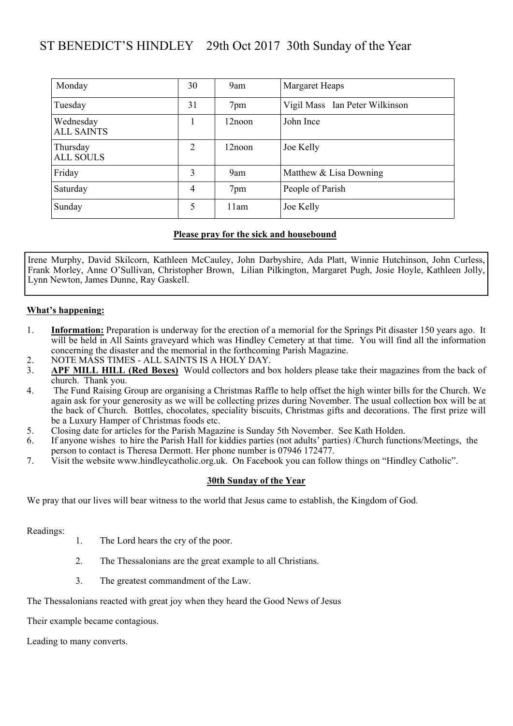## ST BENEDICT'S HINDLEY 29th Oct 2017 30th Sunday of the Year

| Monday                         | 30 | 9am       | Margaret Heaps                 |
|--------------------------------|----|-----------|--------------------------------|
| Tuesday                        | 31 | 7pm       | Vigil Mass Ian Peter Wilkinson |
| Wednesday<br><b>ALL SAINTS</b> |    | $12$ noon | John Ince                      |
| Thursday<br><b>ALL SOULS</b>   | 2  | $12$ noon | Joe Kelly                      |
| Friday                         | 3  | 9am       | Matthew $&$ Lisa Downing       |
| Saturday                       | 4  | 7pm       | People of Parish               |
| Sunday                         | 5  | 11am      | Joe Kelly                      |

#### **Please pray for the sick and housebound**

Irene Murphy, David Skilcorn, Kathleen McCauley, John Darbyshire, Ada Platt, Winnie Hutchinson, John Curless, Frank Morley, Anne O'Sullivan, Christopher Brown, Lilian Pilkington, Margaret Pugh, Josie Hoyle, Kathleen Jolly, Lynn Newton, James Dunne, Ray Gaskell.

#### **What's happening:**

- 1. **Information:** Preparation is underway for the erection of a memorial for the Springs Pit disaster 150 years ago. It will be held in All Saints graveyard which was Hindley Cemetery at that time. You will find all the information concerning the disaster and the memorial in the forthcoming Parish Magazine.
- 2. NOTE MASS TIMES ALL SAINTS IS A HOLY DAY.
- 3. **APF MILL HILL (Red Boxes)** Would collectors and box holders please take their magazines from the back of church. Thank you.
- 4. The Fund Raising Group are organising a Christmas Raffle to help offset the high winter bills for the Church. We again ask for your generosity as we will be collecting prizes during November. The usual collection box will be at the back of Church. Bottles, chocolates, speciality biscuits, Christmas gifts and decorations. The first prize will be a Luxury Hamper of Christmas foods etc.
- 5. Closing date for articles for the Parish Magazine is Sunday 5th November. See Kath Holden.
- 6. If anyone wishes to hire the Parish Hall for kiddies parties (not adults' parties) /Church functions/Meetings, the person to contact is Theresa Dermott. Her phone number is 07946 172477.
- 7. Visit the website www.hindleycatholic.org.uk. On Facebook you can follow things on "Hindley Catholic".

#### **30th Sunday of the Year**

We pray that our lives will bear witness to the world that Jesus came to establish, the Kingdom of God.

Readings:

- 1. The Lord hears the cry of the poor.
- 2. The Thessalonians are the great example to all Christians.
- 3. The greatest commandment of the Law.

The Thessalonians reacted with great joy when they heard the Good News of Jesus

Their example became contagious.

Leading to many converts.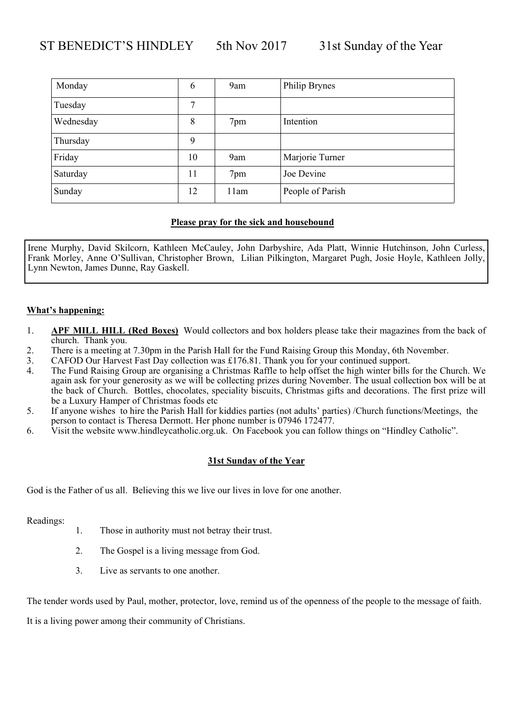| Monday    | 6  | 9am  | Philip Brynes    |
|-----------|----|------|------------------|
| Tuesday   | 7  |      |                  |
| Wednesday | 8  | 7pm  | Intention        |
| Thursday  | 9  |      |                  |
| Friday    | 10 | 9am  | Marjorie Turner  |
| Saturday  | 11 | 7pm  | Joe Devine       |
| Sunday    | 12 | 11am | People of Parish |

Irene Murphy, David Skilcorn, Kathleen McCauley, John Darbyshire, Ada Platt, Winnie Hutchinson, John Curless, Frank Morley, Anne O'Sullivan, Christopher Brown, Lilian Pilkington, Margaret Pugh, Josie Hoyle, Kathleen Jolly, Lynn Newton, James Dunne, Ray Gaskell.

#### **What's happening:**

- 1. **APF MILL HILL (Red Boxes)** Would collectors and box holders please take their magazines from the back of church. Thank you.
- 2. There is a meeting at 7.30pm in the Parish Hall for the Fund Raising Group this Monday, 6th November.
- 3. CAFOD Our Harvest Fast Day collection was £176.81. Thank you for your continued support.
- 4. The Fund Raising Group are organising a Christmas Raffle to help offset the high winter bills for the Church. We again ask for your generosity as we will be collecting prizes during November. The usual collection box will be at the back of Church. Bottles, chocolates, speciality biscuits, Christmas gifts and decorations. The first prize will be a Luxury Hamper of Christmas foods etc
- 5. If anyone wishes to hire the Parish Hall for kiddies parties (not adults' parties) /Church functions/Meetings, the person to contact is Theresa Dermott. Her phone number is 07946 172477.
- 6. Visit the website www.hindleycatholic.org.uk. On Facebook you can follow things on "Hindley Catholic".

#### **31st Sunday of the Year**

God is the Father of us all. Believing this we live our lives in love for one another.

Readings:

- 1. Those in authority must not betray their trust.
- 2. The Gospel is a living message from God.
- 3. Live as servants to one another.

The tender words used by Paul, mother, protector, love, remind us of the openness of the people to the message of faith.

It is a living power among their community of Christians.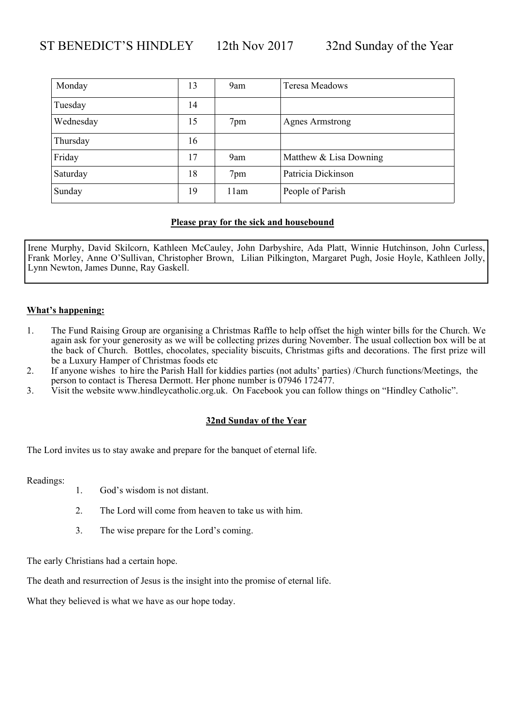| Monday    | 13 | 9am  | Teresa Meadows         |
|-----------|----|------|------------------------|
| Tuesday   | 14 |      |                        |
| Wednesday | 15 | 7pm  | <b>Agnes Armstrong</b> |
| Thursday  | 16 |      |                        |
| Friday    | 17 | 9am  | Matthew & Lisa Downing |
| Saturday  | 18 | 7pm  | Patricia Dickinson     |
| Sunday    | 19 | 11am | People of Parish       |

Irene Murphy, David Skilcorn, Kathleen McCauley, John Darbyshire, Ada Platt, Winnie Hutchinson, John Curless, Frank Morley, Anne O'Sullivan, Christopher Brown, Lilian Pilkington, Margaret Pugh, Josie Hoyle, Kathleen Jolly, Lynn Newton, James Dunne, Ray Gaskell.

#### **What's happening:**

- 1. The Fund Raising Group are organising a Christmas Raffle to help offset the high winter bills for the Church. We again ask for your generosity as we will be collecting prizes during November. The usual collection box will be at the back of Church. Bottles, chocolates, speciality biscuits, Christmas gifts and decorations. The first prize will be a Luxury Hamper of Christmas foods etc
- 2. If anyone wishes to hire the Parish Hall for kiddies parties (not adults' parties) /Church functions/Meetings, the person to contact is Theresa Dermott. Her phone number is 07946 172477.
- 3. Visit the website www.hindleycatholic.org.uk. On Facebook you can follow things on "Hindley Catholic".

#### **32nd Sunday of the Year**

The Lord invites us to stay awake and prepare for the banquet of eternal life.

Readings:

- 1. God's wisdom is not distant.
- 2. The Lord will come from heaven to take us with him.
- 3. The wise prepare for the Lord's coming.

The early Christians had a certain hope.

The death and resurrection of Jesus is the insight into the promise of eternal life.

What they believed is what we have as our hope today.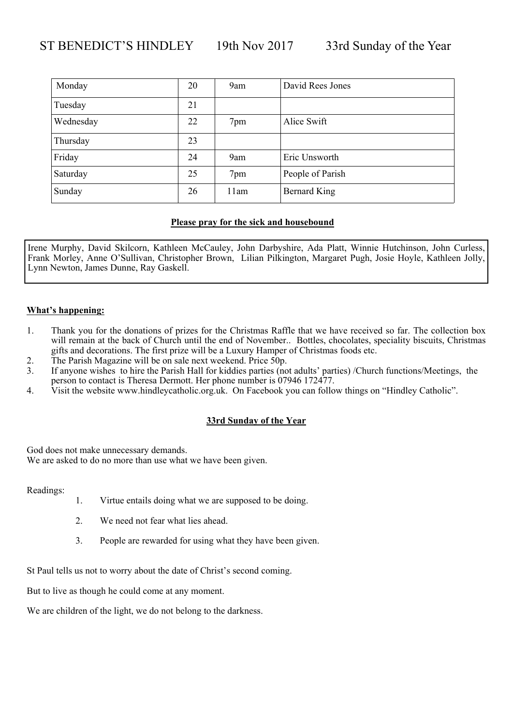| Monday    | 20 | 9am  | David Rees Jones |
|-----------|----|------|------------------|
| Tuesday   | 21 |      |                  |
| Wednesday | 22 | 7pm  | Alice Swift      |
| Thursday  | 23 |      |                  |
| Friday    | 24 | 9am  | Eric Unsworth    |
| Saturday  | 25 | 7pm  | People of Parish |
| Sunday    | 26 | 11am | Bernard King     |

Irene Murphy, David Skilcorn, Kathleen McCauley, John Darbyshire, Ada Platt, Winnie Hutchinson, John Curless, Frank Morley, Anne O'Sullivan, Christopher Brown, Lilian Pilkington, Margaret Pugh, Josie Hoyle, Kathleen Jolly, Lynn Newton, James Dunne, Ray Gaskell.

#### **What's happening:**

- 1. Thank you for the donations of prizes for the Christmas Raffle that we have received so far. The collection box will remain at the back of Church until the end of November.. Bottles, chocolates, speciality biscuits, Christmas gifts and decorations. The first prize will be a Luxury Hamper of Christmas foods etc.
- 2. The Parish Magazine will be on sale next weekend. Price 50p.
- 3. If anyone wishes to hire the Parish Hall for kiddies parties (not adults' parties) /Church functions/Meetings, the person to contact is Theresa Dermott. Her phone number is 07946 172477.
- 4. Visit the website www.hindleycatholic.org.uk. On Facebook you can follow things on "Hindley Catholic".

#### **33rd Sunday of the Year**

God does not make unnecessary demands.

We are asked to do no more than use what we have been given.

Readings:

- 1. Virtue entails doing what we are supposed to be doing.
- 2. We need not fear what lies ahead.
- 3. People are rewarded for using what they have been given.

St Paul tells us not to worry about the date of Christ's second coming.

But to live as though he could come at any moment.

We are children of the light, we do not belong to the darkness.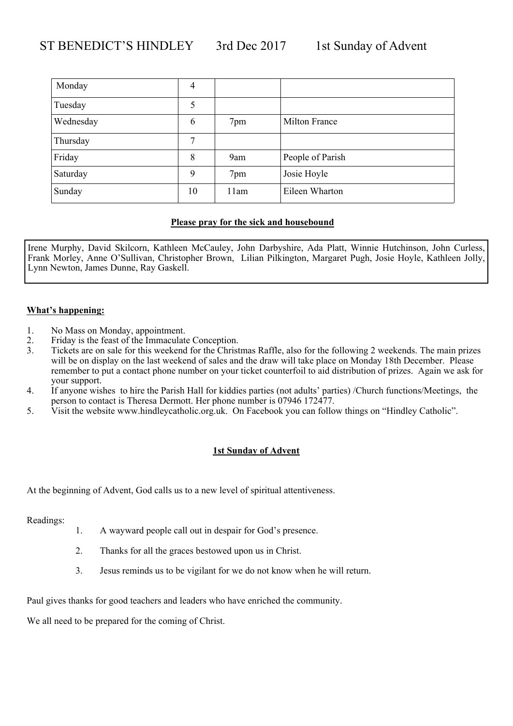| Monday    | 4  |      |                  |
|-----------|----|------|------------------|
| Tuesday   | 5  |      |                  |
| Wednesday | 6  | 7pm  | Milton France    |
| Thursday  | 7  |      |                  |
| Friday    | 8  | 9am  | People of Parish |
| Saturday  | 9  | 7pm  | Josie Hoyle      |
| Sunday    | 10 | 11am | Eileen Wharton   |

Irene Murphy, David Skilcorn, Kathleen McCauley, John Darbyshire, Ada Platt, Winnie Hutchinson, John Curless, Frank Morley, Anne O'Sullivan, Christopher Brown, Lilian Pilkington, Margaret Pugh, Josie Hoyle, Kathleen Jolly, Lynn Newton, James Dunne, Ray Gaskell.

#### **What's happening:**

- 1. No Mass on Monday, appointment.
- 2. Friday is the feast of the Immaculate Conception.<br>3. Tickets are on sale for this weekend for the Christ
- Tickets are on sale for this weekend for the Christmas Raffle, also for the following 2 weekends. The main prizes will be on display on the last weekend of sales and the draw will take place on Monday 18th December. Please remember to put a contact phone number on your ticket counterfoil to aid distribution of prizes. Again we ask for your support.
- 4. If anyone wishes to hire the Parish Hall for kiddies parties (not adults' parties) /Church functions/Meetings, the person to contact is Theresa Dermott. Her phone number is 07946 172477.
- 5. Visit the website www.hindleycatholic.org.uk. On Facebook you can follow things on "Hindley Catholic".

#### **1st Sunday of Advent**

At the beginning of Advent, God calls us to a new level of spiritual attentiveness.

Readings:

- 1. A wayward people call out in despair for God's presence.
- 2. Thanks for all the graces bestowed upon us in Christ.
- 3. Jesus reminds us to be vigilant for we do not know when he will return.

Paul gives thanks for good teachers and leaders who have enriched the community.

We all need to be prepared for the coming of Christ.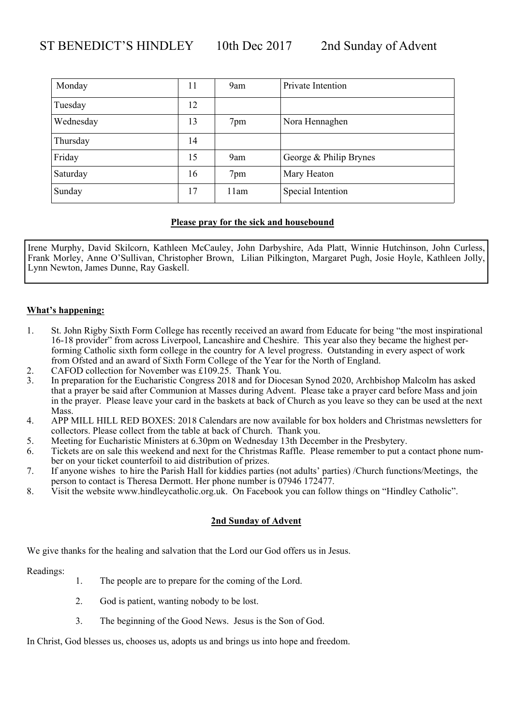| Monday    | 11 | 9am  | Private Intention      |
|-----------|----|------|------------------------|
| Tuesday   | 12 |      |                        |
| Wednesday | 13 | 7pm  | Nora Hennaghen         |
| Thursday  | 14 |      |                        |
| Friday    | 15 | 9am  | George & Philip Brynes |
| Saturday  | 16 | 7pm  | Mary Heaton            |
| Sunday    | 17 | 11am | Special Intention      |

Irene Murphy, David Skilcorn, Kathleen McCauley, John Darbyshire, Ada Platt, Winnie Hutchinson, John Curless, Frank Morley, Anne O'Sullivan, Christopher Brown, Lilian Pilkington, Margaret Pugh, Josie Hoyle, Kathleen Jolly, Lynn Newton, James Dunne, Ray Gaskell.

#### **What's happening:**

- 1. St. John Rigby Sixth Form College has recently received an award from Educate for being "the most inspirational 16-18 provider" from across Liverpool, Lancashire and Cheshire. This year also they became the highest performing Catholic sixth form college in the country for A level progress. Outstanding in every aspect of work from Ofsted and an award of Sixth Form College of the Year for the North of England.
- 2. CAFOD collection for November was £109.25. Thank You.
- 3. In preparation for the Eucharistic Congress 2018 and for Diocesan Synod 2020, Archbishop Malcolm has asked that a prayer be said after Communion at Masses during Advent. Please take a prayer card before Mass and join in the prayer. Please leave your card in the baskets at back of Church as you leave so they can be used at the next Mass.
- 4. APP MILL HILL RED BOXES: 2018 Calendars are now available for box holders and Christmas newsletters for collectors. Please collect from the table at back of Church. Thank you.
- 5. Meeting for Eucharistic Ministers at 6.30pm on Wednesday 13th December in the Presbytery.
- 6. Tickets are on sale this weekend and next for the Christmas Raffle. Please remember to put a contact phone number on your ticket counterfoil to aid distribution of prizes.
- 7. If anyone wishes to hire the Parish Hall for kiddies parties (not adults' parties) /Church functions/Meetings, the person to contact is Theresa Dermott. Her phone number is 07946 172477.
- 8. Visit the website www.hindleycatholic.org.uk. On Facebook you can follow things on "Hindley Catholic".

#### **2nd Sunday of Advent**

We give thanks for the healing and salvation that the Lord our God offers us in Jesus.

Readings:

- 1. The people are to prepare for the coming of the Lord.
- 2. God is patient, wanting nobody to be lost.
- 3. The beginning of the Good News. Jesus is the Son of God.

In Christ, God blesses us, chooses us, adopts us and brings us into hope and freedom.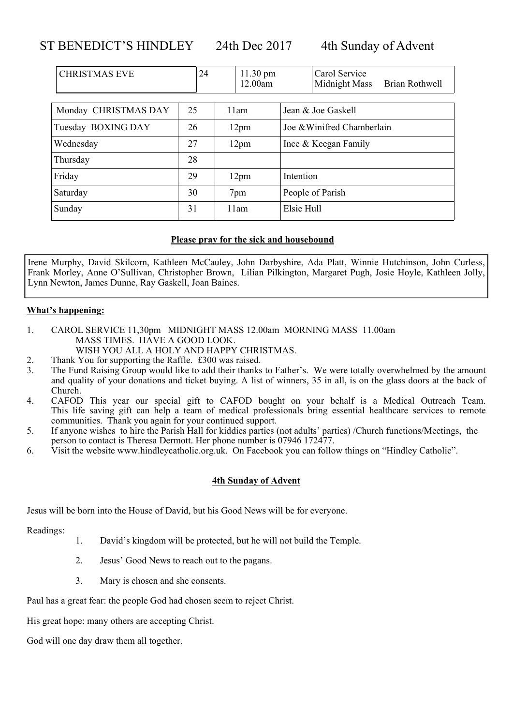ST BENEDICT'S HINDLEY 24th Dec 2017 4th Sunday of Advent

| Brian Rothwell |
|----------------|
|                |
|                |
|                |
|                |
|                |
|                |
|                |
|                |

#### **Please pray for the sick and housebound**

Irene Murphy, David Skilcorn, Kathleen McCauley, John Darbyshire, Ada Platt, Winnie Hutchinson, John Curless, Frank Morley, Anne O'Sullivan, Christopher Brown, Lilian Pilkington, Margaret Pugh, Josie Hoyle, Kathleen Jolly, Lynn Newton, James Dunne, Ray Gaskell, Joan Baines.

#### **What's happening:**

- 1. CAROL SERVICE 11,30pm MIDNIGHT MASS 12.00am MORNING MASS 11.00am MASS TIMES. HAVE A GOOD LOOK. WISH YOU ALL A HOLY AND HAPPY CHRISTMAS.
- 2. Thank You for supporting the Raffle. £300 was raised.
- 3. The Fund Raising Group would like to add their thanks to Father's. We were totally overwhelmed by the amount and quality of your donations and ticket buying. A list of winners, 35 in all, is on the glass doors at the back of Church.
- 4. CAFOD This year our special gift to CAFOD bought on your behalf is a Medical Outreach Team. This life saving gift can help a team of medical professionals bring essential healthcare services to remote communities. Thank you again for your continued support.
- 5. If anyone wishes to hire the Parish Hall for kiddies parties (not adults' parties) /Church functions/Meetings, the person to contact is Theresa Dermott. Her phone number is 07946 172477.
- 6. Visit the website www.hindleycatholic.org.uk. On Facebook you can follow things on "Hindley Catholic".

#### **4th Sunday of Advent**

Jesus will be born into the House of David, but his Good News will be for everyone.

Readings:

- 1. David's kingdom will be protected, but he will not build the Temple.
- 2. Jesus' Good News to reach out to the pagans.
- 3. Mary is chosen and she consents.

Paul has a great fear: the people God had chosen seem to reject Christ.

His great hope: many others are accepting Christ.

God will one day draw them all together.